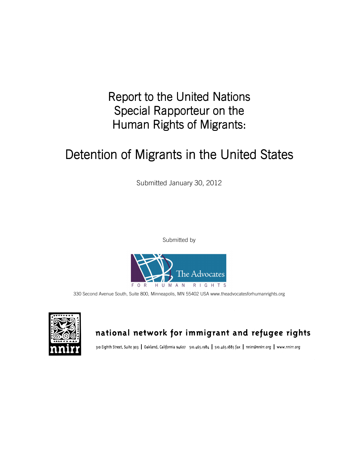Report to the United Nations Special Rapporteur on the Human Rights of Migrants:

# Detention of Migrants in the United States

Submitted January 30, 2012

Submitted by



330 Second Avenue South, Suite 800, Minneapolis, MN 55402 USA www.theadvocatesforhumanrights.org



## national network for immigrant and refugee rights

310 Eighth Street, Suite 303 | Oakland, California 94607 510.465.1984 | 510.465.1885 fax | nnirr@nnirr.org | www.nnirr.org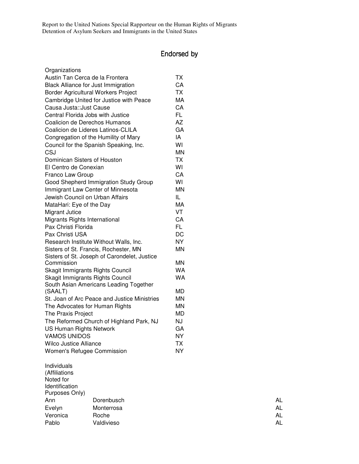### Endorsed by Endorsed by

| <b>TX</b> |
|-----------|
| CA        |
| <b>TX</b> |
| <b>MA</b> |
| CA        |
| FL        |
| <b>AZ</b> |
| GA        |
| IA        |
| WI        |
| <b>MN</b> |
| <b>TX</b> |
| WI        |
| CA        |
| WI        |
| <b>MN</b> |
| IL.       |
| МA        |
| VT        |
| CA        |
| FL.       |
| DC        |
| NY        |
| <b>MN</b> |
|           |
| MN        |
| WA        |
| <b>WA</b> |
|           |
| MD        |
| <b>MN</b> |
| <b>MN</b> |
| MD        |
| NJ        |
| GA        |
| <b>NY</b> |
| ТX        |
| NY        |
|           |

Individuals (Affiliations Noted for Identification Purposes Only) Ann **Dorenbusch AL** Evelyn Monterrosa **AL** Veronica Roche AL Pablo Valdivieso AL

| Αl |
|----|
| Αl |
| Αl |
| Αl |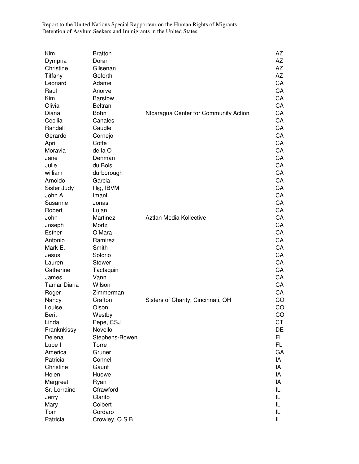| Kim          | <b>Bratton</b>  |                                       | AZ        |
|--------------|-----------------|---------------------------------------|-----------|
|              |                 |                                       |           |
| Dympna       | Doran           |                                       | AZ        |
| Christine    | Gilsenan        |                                       | AZ        |
| Tiffany      | Goforth         |                                       | AZ        |
| Leonard      | Adame           |                                       | CA        |
| Raul         | Anorve          |                                       | CA        |
| Kim          | <b>Barstow</b>  |                                       | CA        |
| Olivia       | <b>Beltran</b>  |                                       | CA        |
| Diana        | Bohn            | NIcaragua Center for Community Action | CA        |
| Cecilia      | Canales         |                                       | CA        |
| Randall      | Caudle          |                                       | CA        |
| Gerardo      | Cornejo         |                                       | CA        |
| April        | Cotte           |                                       | CA        |
| Moravia      | de la O         |                                       | CA        |
| Jane         | Denman          |                                       | CA        |
| Julie        | du Bois         |                                       | CA        |
| william      | durborough      |                                       | CA        |
| Arnoldo      | Garcia          |                                       | CA        |
| Sister Judy  | Illig, IBVM     |                                       | CA        |
| John A       | Imani           |                                       | CA        |
|              |                 |                                       | CA        |
| Susanne      | Jonas           |                                       |           |
| Robert       | Lujan           |                                       | CA        |
| John         | Martinez        | Aztlan Media Kollective               | CA        |
| Joseph       | Mortz           |                                       | CA        |
| Esther       | O'Mara          |                                       | CA        |
| Antonio      | Ramirez         |                                       | CA        |
| Mark E.      | Smith           |                                       | CA        |
| Jesus        | Solorio         |                                       | CA        |
| Lauren       | Stower          |                                       | CA        |
| Catherine    | Tactaquin       |                                       | CA        |
| James        | Vann            |                                       | CA        |
| Tamar Diana  | Wilson          |                                       | CA        |
| Roger        | Zimmerman       |                                       | CA        |
| Nancy        | Crafton         | Sisters of Charity, Cincinnati, OH    | CO        |
| Louise       | Olson           |                                       | CO        |
| <b>Berit</b> | Westby          |                                       | CO        |
| Linda        | Pepe, CSJ       |                                       | <b>CT</b> |
| Franknkissy  | Novello         |                                       | DE        |
| Delena       | Stephens-Bowen  |                                       | FL.       |
| Lupe I       | Torre           |                                       | FL.       |
| America      | Gruner          |                                       | GA        |
| Patricia     | Connell         |                                       | IA        |
| Christine    | Gaunt           |                                       | IA        |
| Helen        | Huewe           |                                       | IA        |
|              |                 |                                       | IA        |
| Margreet     | Ryan            |                                       |           |
| Sr. Lorraine | Cfrawford       |                                       | IL        |
| Jerry        | Clarito         |                                       | IL        |
| Mary         | Colbert         |                                       | IL        |
| Tom          | Cordaro         |                                       | IL        |
| Patricia     | Crowley, O.S.B. |                                       | IL        |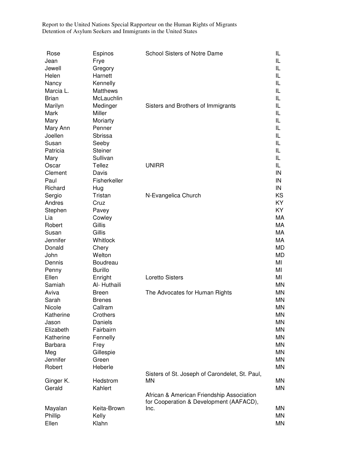| Rose           | Espinos        | <b>School Sisters of Notre Dame</b>             | IL        |
|----------------|----------------|-------------------------------------------------|-----------|
| Jean           | Frye           |                                                 | IL        |
| Jewell         | Gregory        |                                                 | IL        |
| Helen          | Harnett        |                                                 | IL        |
| Nancy          | Kennelly       |                                                 | IL        |
| Marcia L.      | Matthews       |                                                 | IL        |
| <b>Brian</b>   | McLauchlin     |                                                 | IL        |
| Marilyn        | Medinger       | Sisters and Brothers of Immigrants              | IL        |
| Mark           | Miller         |                                                 | IL        |
| Mary           | Moriarty       |                                                 | IL        |
| Mary Ann       | Penner         |                                                 | IL        |
| Joellen        | Sbrissa        |                                                 | IL        |
| Susan          | Seeby          |                                                 | IL        |
| Patricia       | <b>Steiner</b> |                                                 | IL        |
| Mary           | Sullivan       |                                                 | IL        |
| Oscar          | Tellez         | <b>UNIRR</b>                                    | IL        |
| Clement        | Davis          |                                                 | IN        |
| Paul           | Fisherkeller   |                                                 | IN        |
| Richard        | Hug            |                                                 | IN        |
| Sergio         | Tristan        | N-Evangelica Church                             | ΚS        |
| Andres         | Cruz           |                                                 | KY        |
| Stephen        | Pavey          |                                                 | KY        |
| Lia            | Cowley         |                                                 | МA        |
| Robert         | Gillis         |                                                 | МA        |
| Susan          | Gillis         |                                                 | МA        |
| Jennifer       | Whitlock       |                                                 | МA        |
| Donald         | Chery          |                                                 | MD        |
| John           | Welton         |                                                 | MD        |
| Dennis         | Boudreau       |                                                 | MI        |
| Penny          | <b>Burillo</b> |                                                 | MI        |
| Ellen          | Enright        | <b>Loretto Sisters</b>                          | MI        |
| Samiah         | Al- Huthaili   |                                                 | ΜN        |
| Aviva          | <b>Breen</b>   | The Advocates for Human Rights                  | MΝ        |
| Sarah          | <b>Brenes</b>  |                                                 | ΜN        |
| Nicole         | Callram        |                                                 | <b>MN</b> |
| Katherine      | Crothers       |                                                 | ΜN        |
| Jason          | Daniels        |                                                 | ΜN        |
| Elizabeth      | Fairbairn      |                                                 | <b>MN</b> |
| Katherine      | Fennelly       |                                                 | ΜN        |
| <b>Barbara</b> | Frey           |                                                 | <b>MN</b> |
| Meg            | Gillespie      |                                                 | <b>MN</b> |
| Jennifer       | Green          |                                                 | <b>MN</b> |
| Robert         | Heberle        |                                                 | ΜN        |
|                |                | Sisters of St. Joseph of Carondelet, St. Paul,  |           |
| Ginger K.      | Hedstrom       | ΜN                                              | ΜN        |
| Gerald         | Kahlert        |                                                 | MN        |
|                |                | African & American Friendship Association       |           |
| Mayalan        | Keita-Brown    | for Cooperation & Development (AAFACD),<br>Inc. | MN.       |
| Phillip        | Kelly          |                                                 | ΜN        |
| Ellen          | Klahn          |                                                 | MN        |
|                |                |                                                 |           |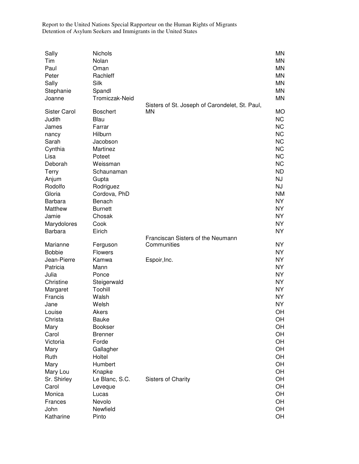| Sally<br>Tim<br>Paul<br>Peter<br>Sally | Nichols<br>Nolan<br>Oman<br>Rachleff<br>Silk |                                                | <b>MN</b><br><b>MN</b><br><b>MN</b><br><b>MN</b><br><b>MN</b> |
|----------------------------------------|----------------------------------------------|------------------------------------------------|---------------------------------------------------------------|
| Stephanie<br>Joanne                    | Spandl<br>Tromiczak-Neid                     | Sisters of St. Joseph of Carondelet, St. Paul, | <b>MN</b><br><b>MN</b>                                        |
| <b>Sister Carol</b><br>Judith          | <b>Boschert</b><br>Blau                      | ΜN                                             | <b>MO</b><br><b>NC</b>                                        |
| James                                  | Farrar                                       |                                                | <b>NC</b>                                                     |
| nancy                                  | Hilburn                                      |                                                | <b>NC</b>                                                     |
| Sarah                                  | Jacobson                                     |                                                | <b>NC</b>                                                     |
| Cynthia                                | Martinez                                     |                                                | <b>NC</b>                                                     |
| Lisa                                   | Poteet                                       |                                                | <b>NC</b>                                                     |
| Deborah                                | Weissman                                     |                                                | <b>NC</b>                                                     |
| Terry                                  | Schaunaman                                   |                                                | <b>ND</b>                                                     |
| Anjum                                  | Gupta                                        |                                                | <b>NJ</b>                                                     |
| Rodolfo                                | Rodriguez                                    |                                                | <b>NJ</b>                                                     |
| Gloria                                 | Cordova, PhD                                 |                                                | <b>NM</b>                                                     |
| <b>Barbara</b>                         | Benach                                       |                                                | <b>NY</b>                                                     |
| Matthew                                | <b>Burnett</b>                               |                                                | <b>NY</b>                                                     |
| Jamie                                  | Chosak                                       |                                                | <b>NY</b>                                                     |
| Marydolores                            | Cook                                         |                                                | <b>NY</b>                                                     |
| <b>Barbara</b>                         | Eirich                                       |                                                | <b>NY</b>                                                     |
|                                        |                                              | Franciscan Sisters of the Neumann              |                                                               |
| Marianne                               | Ferguson                                     | Communities                                    | <b>NY</b>                                                     |
| <b>Bobbie</b>                          | <b>Flowers</b>                               |                                                | <b>NY</b>                                                     |
| Jean-Pierre                            | Kamwa                                        | Espoir, Inc.                                   | <b>NY</b>                                                     |
| Patricia                               | Mann                                         |                                                | <b>NY</b>                                                     |
| Julia                                  | Ponce                                        |                                                | <b>NY</b>                                                     |
| Christine                              | Steigerwald                                  |                                                | <b>NY</b>                                                     |
| Margaret                               | Toohill                                      |                                                | <b>NY</b>                                                     |
| Francis                                | Walsh                                        |                                                | <b>NY</b>                                                     |
| Jane                                   | Welsh                                        |                                                | <b>NY</b>                                                     |
| Louise                                 | Akers                                        |                                                | OH                                                            |
| Christa                                | <b>Bauke</b>                                 |                                                | OH<br>OH                                                      |
| Mary<br>Carol                          | <b>Bookser</b>                               |                                                |                                                               |
| Victoria                               |                                              |                                                |                                                               |
|                                        | <b>Brenner</b>                               |                                                | OH                                                            |
|                                        | Forde                                        |                                                | OH                                                            |
| Mary                                   | Gallagher                                    |                                                | OH                                                            |
| Ruth                                   | Holtel                                       |                                                | OH                                                            |
| Mary                                   | Humbert                                      |                                                | OH                                                            |
| Mary Lou                               | Knapke                                       |                                                | OH                                                            |
| Sr. Shirley                            | Le Blanc, S.C.                               | <b>Sisters of Charity</b>                      | OH                                                            |
| Carol                                  | Leveque                                      |                                                | OH                                                            |
| Monica                                 | Lucas                                        |                                                | OH                                                            |
| Frances<br>John                        | Nevolo<br>Newfield                           |                                                | OH<br>OH                                                      |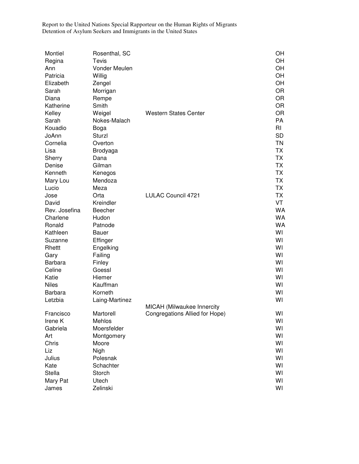| Montiel        | Rosenthal, SC  |                                | OН        |
|----------------|----------------|--------------------------------|-----------|
| Regina         | Tevis          |                                | OH        |
| Ann            | Vonder Meulen  |                                | OH        |
| Patricia       | Willig         |                                | OH        |
| Elizabeth      | Zengel         |                                | OH        |
| Sarah          | Morrigan       |                                | <b>OR</b> |
| Diana          | Rempe          |                                | <b>OR</b> |
| Katherine      | Smith          |                                | <b>OR</b> |
| Kelley         | Weigel         | <b>Western States Center</b>   | <b>OR</b> |
| Sarah          | Nokes-Malach   |                                | PA        |
| Kouadio        | Boga           |                                | RI        |
| JoAnn          | Sturzl         |                                | <b>SD</b> |
| Cornelia       | Overton        |                                | <b>TN</b> |
| Lisa           | Brodyaga       |                                | <b>TX</b> |
| Sherry         | Dana           |                                | <b>TX</b> |
| Denise         | Gilman         |                                | <b>TX</b> |
| Kenneth        |                |                                | <b>TX</b> |
|                | Kenegos        |                                | <b>TX</b> |
| Mary Lou       | Mendoza        |                                |           |
| Lucio          | Meza           |                                | <b>TX</b> |
| Jose           | Orta           | LULAC Council 4721             | <b>TX</b> |
| David          | Kreindler      |                                | VT        |
| Rev. Josefina  | Beecher        |                                | <b>WA</b> |
| Charlene       | Hudon          |                                | WA        |
| Ronald         | Patnode        |                                | WA        |
| Kathleen       | <b>Bauer</b>   |                                | WI        |
| Suzanne        | Effinger       |                                | WI        |
| Rhettt         | Engelking      |                                | WI        |
| Gary           | Failing        |                                | WI        |
| <b>Barbara</b> | Finley         |                                | WI        |
| Celine         | Goessl         |                                | WI        |
| Katie          | Hiemer         |                                | WI        |
| <b>Niles</b>   | Kauffman       |                                | WI        |
| <b>Barbara</b> | Korneth        |                                | W١        |
| Letzbia        | Laing-Martinez |                                | WI        |
|                |                | MICAH (Milwaukee Innercity     |           |
| Francisco      | Martorell      | Congregations Allied for Hope) | WI        |
| Irene K        | Mehlos         |                                | WI        |
| Gabriela       | Moersfelder    |                                | WI        |
| Art            | Montgomery     |                                | WI        |
| Chris          | Moore          |                                | WI        |
| Liz            | Nigh           |                                | WI        |
| Julius         | Polesnak       |                                | WI        |
| Kate           | Schachter      |                                | WI        |
| <b>Stella</b>  | Storch         |                                | WI        |
| Mary Pat       | Utech          |                                | WI        |
| James          | Zelinski       |                                | WI        |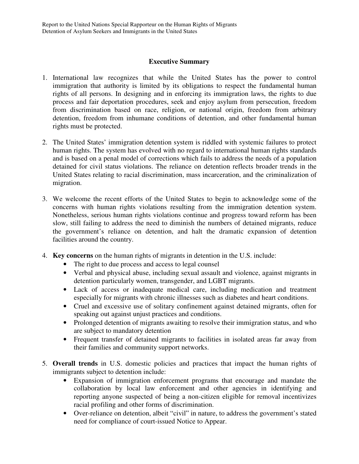#### **Executive Summary**

- 1. International law recognizes that while the United States has the power to control immigration that authority is limited by its obligations to respect the fundamental human rights of all persons. In designing and in enforcing its immigration laws, the rights to due process and fair deportation procedures, seek and enjoy asylum from persecution, freedom from discrimination based on race, religion, or national origin, freedom from arbitrary detention, freedom from inhumane conditions of detention, and other fundamental human rights must be protected.
- 2. The United States' immigration detention system is riddled with systemic failures to protect human rights. The system has evolved with no regard to international human rights standards and is based on a penal model of corrections which fails to address the needs of a population detained for civil status violations. The reliance on detention reflects broader trends in the United States relating to racial discrimination, mass incarceration, and the criminalization of migration.
- 3. We welcome the recent efforts of the United States to begin to acknowledge some of the concerns with human rights violations resulting from the immigration detention system. Nonetheless, serious human rights violations continue and progress toward reform has been slow, still failing to address the need to diminish the numbers of detained migrants, reduce the government's reliance on detention, and halt the dramatic expansion of detention facilities around the country.
- 4. **Key concerns** on the human rights of migrants in detention in the U.S. include:
	- The right to due process and access to legal counsel
	- Verbal and physical abuse, including sexual assault and violence, against migrants in detention particularly women, transgender, and LGBT migrants.
	- Lack of access or inadequate medical care, including medication and treatment especially for migrants with chronic illnesses such as diabetes and heart conditions.
	- Cruel and excessive use of solitary confinement against detained migrants, often for speaking out against unjust practices and conditions.
	- Prolonged detention of migrants awaiting to resolve their immigration status, and who are subject to mandatory detention
	- Frequent transfer of detained migrants to facilities in isolated areas far away from their families and community support networks.
- 5. **Overall trends** in U.S. domestic policies and practices that impact the human rights of immigrants subject to detention include:
	- Expansion of immigration enforcement programs that encourage and mandate the collaboration by local law enforcement and other agencies in identifying and reporting anyone suspected of being a non-citizen eligible for removal incentivizes racial profiling and other forms of discrimination.
	- Over-reliance on detention, albeit "civil" in nature, to address the government's stated need for compliance of court-issued Notice to Appear.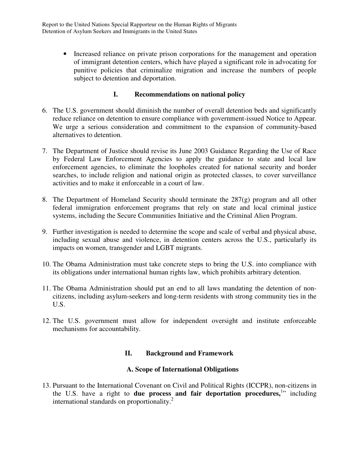• Increased reliance on private prison corporations for the management and operation of immigrant detention centers, which have played a significant role in advocating for punitive policies that criminalize migration and increase the numbers of people subject to detention and deportation.

#### **I. Recommendations on national policy**

- 6. The U.S. government should diminish the number of overall detention beds and significantly reduce reliance on detention to ensure compliance with government-issued Notice to Appear. We urge a serious consideration and commitment to the expansion of community-based alternatives to detention.
- 7. The Department of Justice should revise its June 2003 Guidance Regarding the Use of Race by Federal Law Enforcement Agencies to apply the guidance to state and local law enforcement agencies, to eliminate the loopholes created for national security and border searches, to include religion and national origin as protected classes, to cover surveillance activities and to make it enforceable in a court of law.
- 8. The Department of Homeland Security should terminate the 287(g) program and all other federal immigration enforcement programs that rely on state and local criminal justice systems, including the Secure Communities Initiative and the Criminal Alien Program.
- 9. Further investigation is needed to determine the scope and scale of verbal and physical abuse, including sexual abuse and violence, in detention centers across the U.S., particularly its impacts on women, transgender and LGBT migrants.
- 10. The Obama Administration must take concrete steps to bring the U.S. into compliance with its obligations under international human rights law, which prohibits arbitrary detention.
- 11. The Obama Administration should put an end to all laws mandating the detention of noncitizens, including asylum-seekers and long-term residents with strong community ties in the U.S.
- 12. The U.S. government must allow for independent oversight and institute enforceable mechanisms for accountability.

#### **II. Background and Framework**

#### **A. Scope of International Obligations**

13. Pursuant to the International Covenant on Civil and Political Rights (ICCPR), non-citizens in the U.S. have a right to due process and fair deportation procedures,<sup>1</sup>" including international standards on proportionality.<sup>2</sup>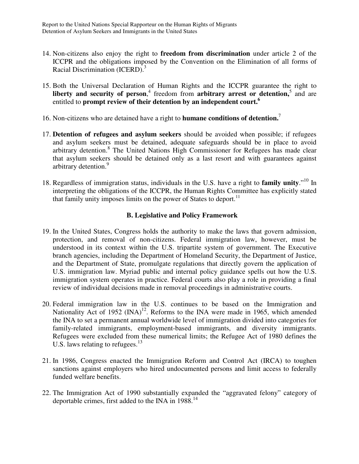- 14. Non-citizens also enjoy the right to **freedom from discrimination** under article 2 of the ICCPR and the obligations imposed by the Convention on the Elimination of all forms of Racial Discrimination (ICERD).<sup>3</sup>
- 15. Both the Universal Declaration of Human Rights and the ICCPR guarantee the right to liberty and security of person,<sup>4</sup> freedom from arbitrary arrest or detention,<sup>5</sup> and are entitled to **prompt review of their detention by an independent court.<sup>6</sup>**
- 16. Non-citizens who are detained have a right to **humane conditions of detention.**<sup>7</sup>
- 17. **Detention of refugees and asylum seekers** should be avoided when possible; if refugees and asylum seekers must be detained, adequate safeguards should be in place to avoid arbitrary detention.<sup>8</sup> The United Nations High Commissioner for Refugees has made clear that asylum seekers should be detained only as a last resort and with guarantees against arbitrary detention.<sup>9</sup>
- 18. Regardless of immigration status, individuals in the U.S. have a right to **family unity**."<sup>10</sup> In interpreting the obligations of the ICCPR, the Human Rights Committee has explicitly stated that family unity imposes limits on the power of States to deport.<sup>11</sup>

#### **B. Legislative and Policy Framework**

- 19. In the United States, Congress holds the authority to make the laws that govern admission, protection, and removal of non-citizens. Federal immigration law, however, must be understood in its context within the U.S. tripartite system of government. The Executive branch agencies, including the Department of Homeland Security, the Department of Justice, and the Department of State, promulgate regulations that directly govern the application of U.S. immigration law. Myriad public and internal policy guidance spells out how the U.S. immigration system operates in practice. Federal courts also play a role in providing a final review of individual decisions made in removal proceedings in administrative courts.
- 20. Federal immigration law in the U.S. continues to be based on the Immigration and Nationality Act of 1952  $(INA)^{12}$ . Reforms to the INA were made in 1965, which amended the INA to set a permanent annual worldwide level of immigration divided into categories for family-related immigrants, employment-based immigrants, and diversity immigrants. Refugees were excluded from these numerical limits; the Refugee Act of 1980 defines the U.S. laws relating to refugees. $13$
- 21. In 1986, Congress enacted the Immigration Reform and Control Act (IRCA) to toughen sanctions against employers who hired undocumented persons and limit access to federally funded welfare benefits.
- 22. The Immigration Act of 1990 substantially expanded the "aggravated felony" category of deportable crimes, first added to the INA in 1988.<sup>14</sup>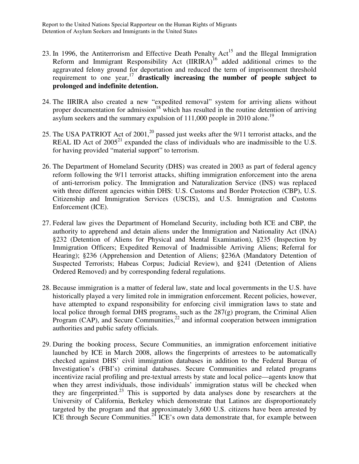- 23. In 1996, the Antiterrorism and Effective Death Penalty  $Act^{15}$  and the Illegal Immigration Reform and Immigrant Responsibility Act  $(IIRIRA)^{16}$  added additional crimes to the aggravated felony ground for deportation and reduced the term of imprisonment threshold requirement to one year,<sup>17</sup> drastically increasing the number of people subject to **prolonged and indefinite detention.**
- 24. The IIRIRA also created a new "expedited removal" system for arriving aliens without proper documentation for admission<sup>18</sup> which has resulted in the routine detention of arriving asylum seekers and the summary expulsion of 111,000 people in 2010 alone.<sup>19</sup>
- 25. The USA PATRIOT Act of  $2001<sup>20</sup>$  passed just weeks after the 9/11 terrorist attacks, and the REAL ID Act of  $2005^{21}$  expanded the class of individuals who are inadmissible to the U.S. for having provided "material support" to terrorism.
- 26. The Department of Homeland Security (DHS) was created in 2003 as part of federal agency reform following the 9/11 terrorist attacks, shifting immigration enforcement into the arena of anti-terrorism policy. The Immigration and Naturalization Service (INS) was replaced with three different agencies within DHS: U.S. Customs and Border Protection (CBP), U.S. Citizenship and Immigration Services (USCIS), and U.S. Immigration and Customs Enforcement (ICE).
- 27. Federal law gives the Department of Homeland Security, including both ICE and CBP, the authority to apprehend and detain aliens under the Immigration and Nationality Act (INA) §232 (Detention of Aliens for Physical and Mental Examination), §235 (Inspection by Immigration Officers; Expedited Removal of Inadmissible Arriving Aliens; Referral for Hearing); §236 (Apprehension and Detention of Aliens; §236A (Mandatory Detention of Suspected Terrorists; Habeas Corpus; Judicial Review), and §241 (Detention of Aliens Ordered Removed) and by corresponding federal regulations.
- 28. Because immigration is a matter of federal law, state and local governments in the U.S. have historically played a very limited role in immigration enforcement. Recent policies, however, have attempted to expand responsibility for enforcing civil immigration laws to state and local police through formal DHS programs, such as the 287(g) program, the Criminal Alien Program (CAP), and Secure Communities, $^{22}$  and informal cooperation between immigration authorities and public safety officials.
- 29. During the booking process, Secure Communities, an immigration enforcement initiative launched by ICE in March 2008, allows the fingerprints of arrestees to be automatically checked against DHS' civil immigration databases in addition to the Federal Bureau of Investigation's (FBI's) criminal databases. Secure Communities and related programs incentivize racial profiling and pre-textual arrests by state and local police—agents know that when they arrest individuals, those individuals' immigration status will be checked when they are fingerprinted.<sup>23</sup> This is supported by data analyses done by researchers at the University of California, Berkeley which demonstrate that Latinos are disproportionately targeted by the program and that approximately 3,600 U.S. citizens have been arrested by ICE through Secure Communities.<sup>24</sup> ICE's own data demonstrate that, for example between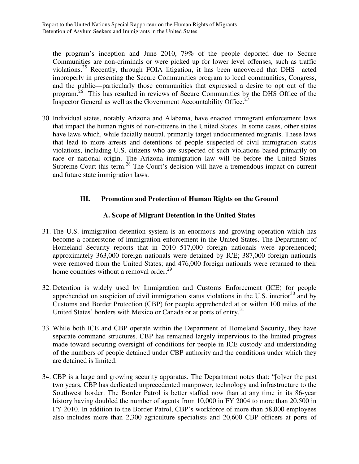the program's inception and June 2010, 79% of the people deported due to Secure Communities are non-criminals or were picked up for lower level offenses, such as traffic violations.<sup>25</sup> Recently, through FOIA litigation, it has been uncovered that DHS acted improperly in presenting the Secure Communities program to local communities, Congress, and the public—particularly those communities that expressed a desire to opt out of the program.<sup>26</sup> This has resulted in reviews of Secure Communities by the DHS Office of the Inspector General as well as the Government Accountability Office.<sup>27</sup>

30. Individual states, notably Arizona and Alabama, have enacted immigrant enforcement laws that impact the human rights of non-citizens in the United States. In some cases, other states have laws which, while facially neutral, primarily target undocumented migrants. These laws that lead to more arrests and detentions of people suspected of civil immigration status violations, including U.S. citizens who are suspected of such violations based primarily on race or national origin. The Arizona immigration law will be before the United States Supreme Court this term.<sup>28</sup> The Court's decision will have a tremendous impact on current and future state immigration laws.

#### **III. Promotion and Protection of Human Rights on the Ground**

#### **A. Scope of Migrant Detention in the United States**

- 31. The U.S. immigration detention system is an enormous and growing operation which has become a cornerstone of immigration enforcement in the United States. The Department of Homeland Security reports that in 2010 517,000 foreign nationals were apprehended; approximately 363,000 foreign nationals were detained by ICE; 387,000 foreign nationals were removed from the United States; and 476,000 foreign nationals were returned to their home countries without a removal order.<sup>29</sup>
- 32. Detention is widely used by Immigration and Customs Enforcement (ICE) for people apprehended on suspicion of civil immigration status violations in the U.S. interior<sup>30</sup> and by Customs and Border Protection (CBP) for people apprehended at or within 100 miles of the United States' borders with Mexico or Canada or at ports of entry.<sup>31</sup>
- 33. While both ICE and CBP operate within the Department of Homeland Security, they have separate command structures. CBP has remained largely impervious to the limited progress made toward securing oversight of conditions for people in ICE custody and understanding of the numbers of people detained under CBP authority and the conditions under which they are detained is limited.
- 34. CBP is a large and growing security apparatus. The Department notes that: "[o]ver the past two years, CBP has dedicated unprecedented manpower, technology and infrastructure to the Southwest border. The Border Patrol is better staffed now than at any time in its 86-year history having doubled the number of agents from 10,000 in FY 2004 to more than 20,500 in FY 2010. In addition to the Border Patrol, CBP's workforce of more than 58,000 employees also includes more than 2,300 agriculture specialists and 20,600 CBP officers at ports of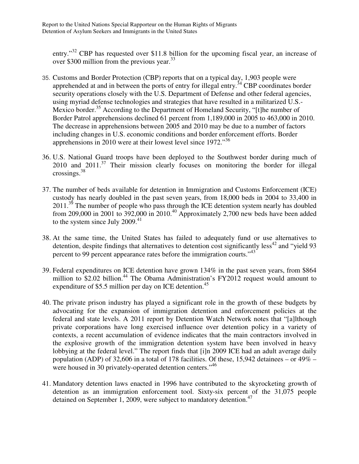entry."<sup>32</sup> CBP has requested over \$11.8 billion for the upcoming fiscal year, an increase of over \$300 million from the previous year.<sup>33</sup>

- 35. Customs and Border Protection (CBP) reports that on a typical day, 1,903 people were apprehended at and in between the ports of entry for illegal entry.<sup>34</sup> CBP coordinates border security operations closely with the U.S. Department of Defense and other federal agencies, using myriad defense technologies and strategies that have resulted in a militarized U.S.- Mexico border.<sup>35</sup> According to the Department of Homeland Security, "[t]he number of Border Patrol apprehensions declined 61 percent from 1,189,000 in 2005 to 463,000 in 2010. The decrease in apprehensions between 2005 and 2010 may be due to a number of factors including changes in U.S. economic conditions and border enforcement efforts. Border apprehensions in 2010 were at their lowest level since 1972."<sup>36</sup>
- 36. U.S. National Guard troops have been deployed to the Southwest border during much of  $2010$  and  $2011$ .<sup>37</sup> Their mission clearly focuses on monitoring the border for illegal crossings.<sup>38</sup>
- 37. The number of beds available for detention in Immigration and Customs Enforcement (ICE) custody has nearly doubled in the past seven years, from 18,000 beds in 2004 to 33,400 in  $2011.<sup>36</sup>$  The number of people who pass through the ICE detention system nearly has doubled from 209,000 in 2001 to 392,000 in 2010.<sup>40</sup> Approximately 2,700 new beds have been added to the system since July 2009. $^{41}$
- 38. At the same time, the United States has failed to adequately fund or use alternatives to detention, despite findings that alternatives to detention cost significantly less<sup>42</sup> and "yield 93 percent to 99 percent appearance rates before the immigration courts."<sup>43</sup>
- 39. Federal expenditures on ICE detention have grown 134% in the past seven years, from \$864 million to \$2.02 billion.<sup>44</sup> The Obama Administration's FY2012 request would amount to expenditure of \$5.5 million per day on ICE detention. $45$
- 40. The private prison industry has played a significant role in the growth of these budgets by advocating for the expansion of immigration detention and enforcement policies at the federal and state levels. A 2011 report by Detention Watch Network notes that "[a]lthough private corporations have long exercised influence over detention policy in a variety of contexts, a recent accumulation of evidence indicates that the main contractors involved in the explosive growth of the immigration detention system have been involved in heavy lobbying at the federal level." The report finds that [i]n 2009 ICE had an adult average daily population (ADP) of 32,606 in a total of 178 facilities. Of these, 15,942 detainees – or  $49\%$  – were housed in 30 privately-operated detention centers."<sup>46</sup>
- 41. Mandatory detention laws enacted in 1996 have contributed to the skyrocketing growth of detention as an immigration enforcement tool. Sixty-six percent of the 31,075 people detained on September 1, 2009, were subject to mandatory detention.<sup>47</sup>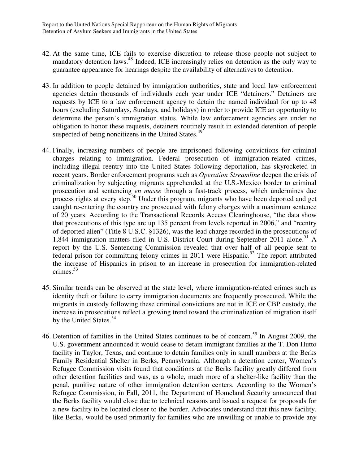- 42. At the same time, ICE fails to exercise discretion to release those people not subject to mandatory detention laws.<sup>48</sup> Indeed, ICE increasingly relies on detention as the only way to guarantee appearance for hearings despite the availability of alternatives to detention.
- 43. In addition to people detained by immigration authorities, state and local law enforcement agencies detain thousands of individuals each year under ICE "detainers." Detainers are requests by ICE to a law enforcement agency to detain the named individual for up to 48 hours (excluding Saturdays, Sundays, and holidays) in order to provide ICE an opportunity to determine the person's immigration status. While law enforcement agencies are under no obligation to honor these requests, detainers routinely result in extended detention of people suspected of being noncitizens in the United States.<sup>49</sup>
- 44. Finally, increasing numbers of people are imprisoned following convictions for criminal charges relating to immigration. Federal prosecution of immigration-related crimes, including illegal reentry into the United States following deportation, has skyrocketed in recent years. Border enforcement programs such as *Operation Streamline* deepen the crisis of criminalization by subjecting migrants apprehended at the U.S.-Mexico border to criminal prosecution and sentencing *en masse* through a fast-track process, which undermines due process rights at every step.<sup>50</sup> Under this program, migrants who have been deported and get caught re-entering the country are prosecuted with felony charges with a maximum sentence of 20 years. According to the Transactional Records Access Clearinghouse, "the data show that prosecutions of this type are up 135 percent from levels reported in 2006," and "reentry of deported alien" (Title 8 U.S.C. §1326), was the lead charge recorded in the prosecutions of 1,844 immigration matters filed in U.S. District Court during September 2011 alone.<sup>51</sup> A report by the U.S. Sentencing Commission revealed that over half of all people sent to federal prison for committing felony crimes in 2011 were Hispanic.<sup>52</sup> The report attributed the increase of Hispanics in prison to an increase in prosecution for immigration-related crimes.<sup>53</sup>
- 45. Similar trends can be observed at the state level, where immigration-related crimes such as identity theft or failure to carry immigration documents are frequently prosecuted. While the migrants in custody following these criminal convictions are not in ICE or CBP custody, the increase in prosecutions reflect a growing trend toward the criminalization of migration itself by the United States.<sup>54</sup>
- 46. Detention of families in the United States continues to be of concern.<sup>55</sup> In August 2009, the U.S. government announced it would cease to detain immigrant families at the T. Don Hutto facility in Taylor, Texas, and continue to detain families only in small numbers at the Berks Family Residential Shelter in Berks, Pennsylvania. Although a detention center, Women's Refugee Commission visits found that conditions at the Berks facility greatly differed from other detention facilities and was, as a whole, much more of a shelter-like facility than the penal, punitive nature of other immigration detention centers. According to the Women's Refugee Commission, in Fall, 2011, the Department of Homeland Security announced that the Berks facility would close due to technical reasons and issued a request for proposals for a new facility to be located closer to the border. Advocates understand that this new facility, like Berks, would be used primarily for families who are unwilling or unable to provide any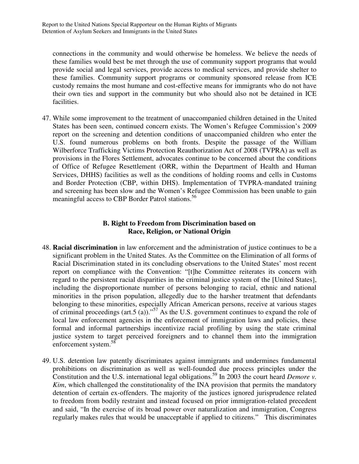connections in the community and would otherwise be homeless. We believe the needs of these families would best be met through the use of community support programs that would provide social and legal services, provide access to medical services, and provide shelter to these families. Community support programs or community sponsored release from ICE custody remains the most humane and cost-effective means for immigrants who do not have their own ties and support in the community but who should also not be detained in ICE facilities.

47. While some improvement to the treatment of unaccompanied children detained in the United States has been seen, continued concern exists. The Women's Refugee Commission's 2009 report on the screening and detention conditions of unaccompanied children who enter the U.S. found numerous problems on both fronts. Despite the passage of the William Wilberforce Trafficking Victims Protection Reauthorization Act of 2008 (TVPRA) as well as provisions in the Flores Settlement, advocates continue to be concerned about the conditions of Office of Refugee Resettlement (ORR, within the Department of Health and Human Services, DHHS) facilities as well as the conditions of holding rooms and cells in Customs and Border Protection (CBP, within DHS). Implementation of TVPRA-mandated training and screening has been slow and the Women's Refugee Commission has been unable to gain meaningful access to CBP Border Patrol stations.<sup>56</sup>

#### **B. Right to Freedom from Discrimination based on Race, Religion, or National Origin**

- 48. **Racial discrimination** in law enforcement and the administration of justice continues to be a significant problem in the United States. As the Committee on the Elimination of all forms of Racial Discrimination stated in its concluding observations to the United States' most recent report on compliance with the Convention: "[t]he Committee reiterates its concern with regard to the persistent racial disparities in the criminal justice system of the [United States], including the disproportionate number of persons belonging to racial, ethnic and national minorities in the prison population, allegedly due to the harsher treatment that defendants belonging to these minorities, especially African American persons, receive at various stages of criminal proceedings (art.5 (a))."<sup>57</sup> As the U.S. government continues to expand the role of local law enforcement agencies in the enforcement of immigration laws and policies, these formal and informal partnerships incentivize racial profiling by using the state criminal justice system to target perceived foreigners and to channel them into the immigration enforcement system.<sup>58</sup>
- 49. U.S. detention law patently discriminates against immigrants and undermines fundamental prohibitions on discrimination as well as well-founded due process principles under the Constitution and the U.S. international legal obligations.<sup>59</sup> In 2003 the court heard *Demore v*. *Kim*, which challenged the constitutionality of the INA provision that permits the mandatory detention of certain ex-offenders. The majority of the justices ignored jurisprudence related to freedom from bodily restraint and instead focused on prior immigration-related precedent and said, "In the exercise of its broad power over naturalization and immigration, Congress regularly makes rules that would be unacceptable if applied to citizens." This discriminates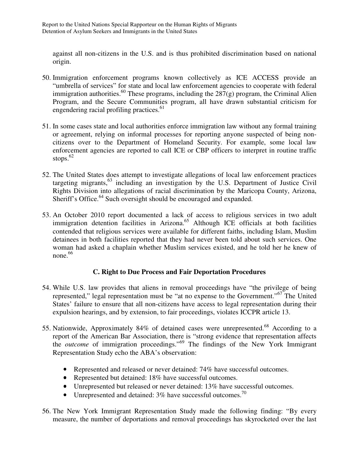against all non-citizens in the U.S. and is thus prohibited discrimination based on national origin.

- 50. Immigration enforcement programs known collectively as ICE ACCESS provide an "umbrella of services" for state and local law enforcement agencies to cooperate with federal immigration authorities.<sup>60</sup> These programs, including the  $287(g)$  program, the Criminal Alien Program, and the Secure Communities program, all have drawn substantial criticism for engendering racial profiling practices.<sup>61</sup>
- 51. In some cases state and local authorities enforce immigration law without any formal training or agreement, relying on informal processes for reporting anyone suspected of being noncitizens over to the Department of Homeland Security. For example, some local law enforcement agencies are reported to call ICE or CBP officers to interpret in routine traffic stops. $62$
- 52. The United States does attempt to investigate allegations of local law enforcement practices targeting migrants, $63$  including an investigation by the U.S. Department of Justice Civil Rights Division into allegations of racial discrimination by the Maricopa County, Arizona, Sheriff's Office.<sup>64</sup> Such oversight should be encouraged and expanded.
- 53. An October 2010 report documented a lack of access to religious services in two adult immigration detention facilities in Arizona.<sup>65</sup> Although ICE officials at both facilities contended that religious services were available for different faiths, including Islam, Muslim detainees in both facilities reported that they had never been told about such services. One woman had asked a chaplain whether Muslim services existed, and he told her he knew of none. $66$

#### **C. Right to Due Process and Fair Deportation Procedures**

- 54. While U.S. law provides that aliens in removal proceedings have "the privilege of being represented," legal representation must be "at no expense to the Government."<sup>67</sup> The United States' failure to ensure that all non-citizens have access to legal representation during their expulsion hearings, and by extension, to fair proceedings, violates ICCPR article 13.
- 55. Nationwide, Approximately 84% of detained cases were unrepresented.<sup>68</sup> According to a report of the American Bar Association, there is "strong evidence that representation affects the *outcome* of immigration proceedings."<sup>69</sup> The findings of the New York Immigrant Representation Study echo the ABA's observation:
	- Represented and released or never detained: 74% have successful outcomes.
	- Represented but detained: 18% have successful outcomes.
	- Unrepresented but released or never detained: 13% have successful outcomes.
	- Unrepresented and detained:  $3\%$  have successful outcomes.<sup>70</sup>
- 56. The New York Immigrant Representation Study made the following finding: "By every measure, the number of deportations and removal proceedings has skyrocketed over the last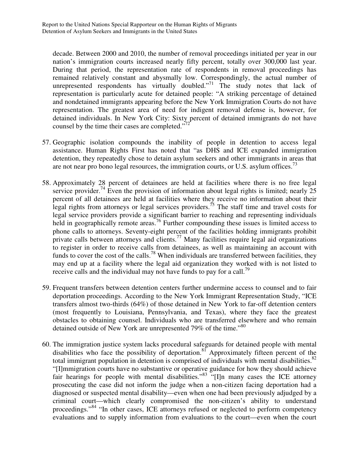decade. Between 2000 and 2010, the number of removal proceedings initiated per year in our nation's immigration courts increased nearly fifty percent, totally over 300,000 last year. During that period, the representation rate of respondents in removal proceedings has remained relatively constant and abysmally low. Correspondingly, the actual number of unrepresented respondents has virtually doubled."<sup>71</sup> The study notes that lack of representation is particularly acute for detained people: "A striking percentage of detained and nondetained immigrants appearing before the New York Immigration Courts do not have representation. The greatest area of need for indigent removal defense is, however, for detained individuals. In New York City: Sixty percent of detained immigrants do not have counsel by the time their cases are completed." $72^{\degree}$ 

- 57. Geographic isolation compounds the inability of people in detention to access legal assistance. Human Rights First has noted that "as DHS and ICE expanded immigration detention, they repeatedly chose to detain asylum seekers and other immigrants in areas that are not near pro bono legal resources, the immigration courts, or U.S. asylum offices.<sup>73</sup>
- 58. Approximately 28 percent of detainees are held at facilities where there is no free legal service provider.<sup>74</sup> Even the provision of information about legal rights is limited; nearly  $25$ percent of all detainees are held at facilities where they receive no information about their legal rights from attorneys or legal services providers.<sup>75</sup> The staff time and travel costs for legal service providers provide a significant barrier to reaching and representing individuals held in geographically remote areas.<sup>76</sup> Further compounding these issues is limited access to phone calls to attorneys. Seventy-eight percent of the facilities holding immigrants prohibit private calls between attorneys and clients.<sup>77</sup> Many facilities require legal aid organizations to register in order to receive calls from detainees, as well as maintaining an account with funds to cover the cost of the calls.<sup>78</sup> When individuals are transferred between facilities, they may end up at a facility where the legal aid organization they worked with is not listed to receive calls and the individual may not have funds to pay for a call.<sup>79</sup>
- 59. Frequent transfers between detention centers further undermine access to counsel and to fair deportation proceedings. According to the New York Immigrant Representation Study, "ICE transfers almost two-thirds (64%) of those detained in New York to far-off detention centers (most frequently to Louisiana, Pennsylvania, and Texas), where they face the greatest obstacles to obtaining counsel. Individuals who are transferred elsewhere and who remain detained outside of New York are unrepresented 79% of the time."<sup>80</sup>
- 60. The immigration justice system lacks procedural safeguards for detained people with mental disabilities who face the possibility of deportation.<sup>81</sup> Approximately fifteen percent of the total immigrant population in detention is comprised of individuals with mental disabilities.<sup>82</sup> "[I]mmigration courts have no substantive or operative guidance for how they should achieve fair hearings for people with mental disabilities."<sup>83</sup> "[I]n many cases the ICE attorney prosecuting the case did not inform the judge when a non-citizen facing deportation had a diagnosed or suspected mental disability—even when one had been previously adjudged by a criminal court—which clearly compromised the non-citizen's ability to understand proceedings."<sup>84</sup> "In other cases, ICE attorneys refused or neglected to perform competency evaluations and to supply information from evaluations to the court—even when the court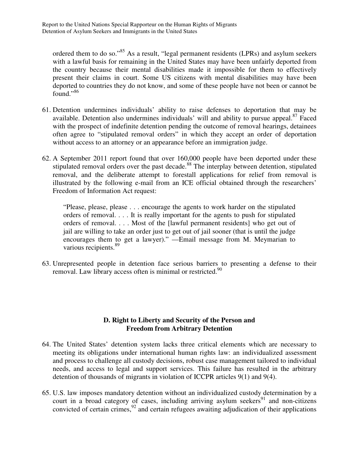ordered them to do so."<sup>85</sup> As a result, "legal permanent residents (LPRs) and asylum seekers with a lawful basis for remaining in the United States may have been unfairly deported from the country because their mental disabilities made it impossible for them to effectively present their claims in court. Some US citizens with mental disabilities may have been deported to countries they do not know, and some of these people have not been or cannot be found."<sup>86</sup>

- 61. Detention undermines individuals' ability to raise defenses to deportation that may be available. Detention also undermines individuals' will and ability to pursue appeal.<sup>87</sup> Faced with the prospect of indefinite detention pending the outcome of removal hearings, detainees often agree to "stipulated removal orders" in which they accept an order of deportation without access to an attorney or an appearance before an immigration judge.
- 62. A September 2011 report found that over 160,000 people have been deported under these stipulated removal orders over the past decade.<sup>88</sup> The interplay between detention, stipulated removal, and the deliberate attempt to forestall applications for relief from removal is illustrated by the following e-mail from an ICE official obtained through the researchers' Freedom of Information Act request:

"Please, please, please . . . encourage the agents to work harder on the stipulated orders of removal. . . . It is really important for the agents to push for stipulated orders of removal. . . . Most of the [lawful permanent residents] who get out of jail are willing to take an order just to get out of jail sooner (that is until the judge encourages them to get a lawyer)." —Email message from M. Meymarian to various recipients.<sup>89</sup>

63. Unrepresented people in detention face serious barriers to presenting a defense to their removal. Law library access often is minimal or restricted.<sup>90</sup>

#### **D. Right to Liberty and Security of the Person and Freedom from Arbitrary Detention**

- 64. The United States' detention system lacks three critical elements which are necessary to meeting its obligations under international human rights law: an individualized assessment and process to challenge all custody decisions, robust case management tailored to individual needs, and access to legal and support services. This failure has resulted in the arbitrary detention of thousands of migrants in violation of ICCPR articles 9(1) and 9(4).
- 65. U.S. law imposes mandatory detention without an individualized custody determination by a court in a broad category of cases, including arriving asylum seekers $91$  and non-citizens convicted of certain crimes, $92$  and certain refugees awaiting adjudication of their applications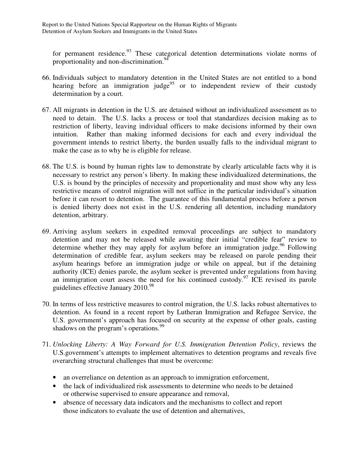for permanent residence.<sup>93</sup> These categorical detention determinations violate norms of proportionality and non-discrimination.<sup>94</sup>

- 66. Individuals subject to mandatory detention in the United States are not entitled to a bond hearing before an immigration judge<sup>95</sup> or to independent review of their custody determination by a court.
- 67. All migrants in detention in the U.S. are detained without an individualized assessment as to need to detain. The U.S. lacks a process or tool that standardizes decision making as to restriction of liberty, leaving individual officers to make decisions informed by their own intuition. Rather than making informed decisions for each and every individual the government intends to restrict liberty, the burden usually falls to the individual migrant to make the case as to why he is eligible for release.
- 68. The U.S. is bound by human rights law to demonstrate by clearly articulable facts why it is necessary to restrict any person's liberty. In making these individualized determinations, the U.S. is bound by the principles of necessity and proportionality and must show why any less restrictive means of control migration will not suffice in the particular individual's situation before it can resort to detention. The guarantee of this fundamental process before a person is denied liberty does not exist in the U.S. rendering all detention, including mandatory detention, arbitrary.
- 69. Arriving asylum seekers in expedited removal proceedings are subject to mandatory detention and may not be released while awaiting their initial "credible fear" review to determine whether they may apply for asylum before an immigration judge.<sup>96</sup> Following determination of credible fear, asylum seekers may be released on parole pending their asylum hearings before an immigration judge or while on appeal, but if the detaining authority (ICE) denies parole, the asylum seeker is prevented under regulations from having an immigration court assess the need for his continued custody.<sup>97</sup> ICE revised its parole guidelines effective January  $2010^{98}$
- 70. In terms of less restrictive measures to control migration, the U.S. lacks robust alternatives to detention. As found in a recent report by Lutheran Immigration and Refugee Service, the U.S. government's approach has focused on security at the expense of other goals, casting shadows on the program's operations.<sup>99</sup>
- 71. *Unlocking Liberty: A Way Forward for U.S. Immigration Detention Policy*, reviews the U.S.government's attempts to implement alternatives to detention programs and reveals five overarching structural challenges that must be overcome:
	- an overreliance on detention as an approach to immigration enforcement,
	- the lack of individualized risk assessments to determine who needs to be detained or otherwise supervised to ensure appearance and removal,
	- absence of necessary data indicators and the mechanisms to collect and report those indicators to evaluate the use of detention and alternatives,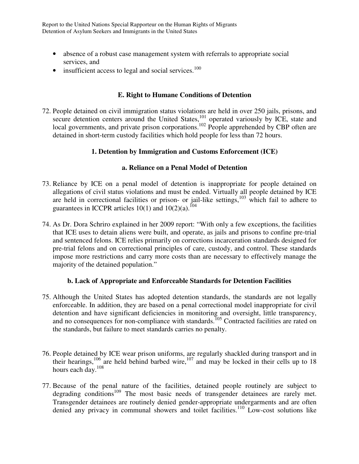- absence of a robust case management system with referrals to appropriate social services, and
- insufficient access to legal and social services. $100$

#### **E. Right to Humane Conditions of Detention**

72. People detained on civil immigration status violations are held in over 250 jails, prisons, and secure detention centers around the United States,<sup>101</sup> operated variously by ICE, state and local governments, and private prison corporations.<sup>102</sup> People apprehended by CBP often are detained in short-term custody facilities which hold people for less than 72 hours.

#### **1. Detention by Immigration and Customs Enforcement (ICE)**

#### **a. Reliance on a Penal Model of Detention**

- 73. Reliance by ICE on a penal model of detention is inappropriate for people detained on allegations of civil status violations and must be ended. Virtually all people detained by ICE are held in correctional facilities or prison- or jail-like settings, $103$  which fail to adhere to guarantees in ICCPR articles  $10(1)$  and  $10(2)(a)$ .<sup>104</sup>
- 74. As Dr. Dora Schriro explained in her 2009 report: "With only a few exceptions, the facilities that ICE uses to detain aliens were built, and operate, as jails and prisons to confine pre-trial and sentenced felons. ICE relies primarily on corrections incarceration standards designed for pre-trial felons and on correctional principles of care, custody, and control. These standards impose more restrictions and carry more costs than are necessary to effectively manage the majority of the detained population."

#### **b. Lack of Appropriate and Enforceable Standards for Detention Facilities**

- 75. Although the United States has adopted detention standards, the standards are not legally enforceable. In addition, they are based on a penal correctional model inappropriate for civil detention and have significant deficiencies in monitoring and oversight, little transparency, and no consequences for non-compliance with standards.<sup>105</sup> Contracted facilities are rated on the standards, but failure to meet standards carries no penalty.
- 76. People detained by ICE wear prison uniforms, are regularly shackled during transport and in their hearings,<sup>106</sup> are held behind barbed wire,<sup>107</sup> and may be locked in their cells up to 18 hours each day.<sup>108</sup>
- 77. Because of the penal nature of the facilities, detained people routinely are subject to degrading conditions<sup>109</sup> The most basic needs of transgender detainees are rarely met. Transgender detainees are routinely denied gender-appropriate undergarments and are often denied any privacy in communal showers and toilet facilities.<sup>110</sup> Low-cost solutions like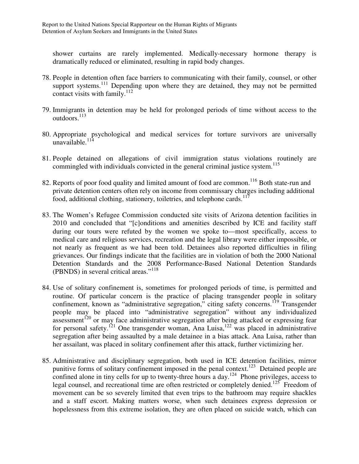shower curtains are rarely implemented. Medically-necessary hormone therapy is dramatically reduced or eliminated, resulting in rapid body changes.

- 78. People in detention often face barriers to communicating with their family, counsel, or other support systems.<sup>111</sup> Depending upon where they are detained, they may not be permitted contact visits with family.<sup>112</sup>
- 79. Immigrants in detention may be held for prolonged periods of time without access to the outdoors.<sup>113</sup>
- 80. Appropriate psychological and medical services for torture survivors are universally unavailable. $11$
- 81. People detained on allegations of civil immigration status violations routinely are commingled with individuals convicted in the general criminal justice system.<sup>115</sup>
- 82. Reports of poor food quality and limited amount of food are common.<sup>116</sup> Both state-run and private detention centers often rely on income from commissary charges including additional food, additional clothing, stationery, toiletries, and telephone cards.<sup>117</sup>
- 83. The Women's Refugee Commission conducted site visits of Arizona detention facilities in 2010 and concluded that "[c]onditions and amenities described by ICE and facility staff during our tours were refuted by the women we spoke to—most specifically, access to medical care and religious services, recreation and the legal library were either impossible, or not nearly as frequent as we had been told. Detainees also reported difficulties in filing grievances. Our findings indicate that the facilities are in violation of both the 2000 National Detention Standards and the 2008 Performance-Based National Detention Standards (PBNDS) in several critical areas."<sup>118</sup>
- 84. Use of solitary confinement is, sometimes for prolonged periods of time, is permitted and routine. Of particular concern is the practice of placing transgender people in solitary confinement, known as "administrative segregation," citing safety concerns.<sup>119</sup> Transgender people may be placed into "administrative segregation" without any individualized  $\frac{120}{20}$  or may face administrative segregation after being attacked or expressing fear for personal safety.<sup>121</sup> One transgender woman, Ana Luisa,<sup>122</sup> was placed in administrative segregation after being assaulted by a male detainee in a bias attack. Ana Luisa, rather than her assailant, was placed in solitary confinement after this attack, further victimizing her.
- 85. Administrative and disciplinary segregation, both used in ICE detention facilities, mirror punitive forms of solitary confinement imposed in the penal context.<sup>123</sup> Detained people are confined alone in tiny cells for up to twenty-three hours a day.<sup>124</sup> Phone privileges, access to legal counsel, and recreational time are often restricted or completely denied.<sup>125</sup> Freedom of movement can be so severely limited that even trips to the bathroom may require shackles and a staff escort. Making matters worse, when such detainees express depression or hopelessness from this extreme isolation, they are often placed on suicide watch, which can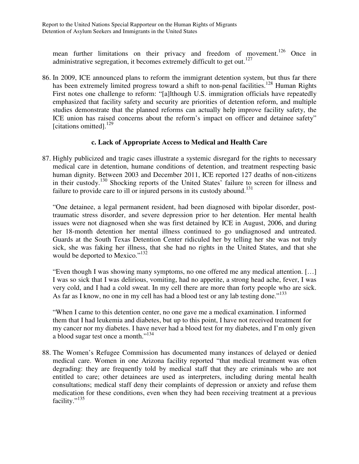mean further limitations on their privacy and freedom of movement.<sup>126</sup> Once in administrative segregation, it becomes extremely difficult to get out.<sup>127</sup>

86. In 2009, ICE announced plans to reform the immigrant detention system, but thus far there has been extremely limited progress toward a shift to non-penal facilities.<sup>128</sup> Human Rights First notes one challenge to reform: "[a]lthough U.S. immigration officials have repeatedly emphasized that facility safety and security are priorities of detention reform, and multiple studies demonstrate that the planned reforms can actually help improve facility safety, the ICE union has raised concerns about the reform's impact on officer and detainee safety" [citations omitted].<sup>129</sup>

#### **c. Lack of Appropriate Access to Medical and Health Care**

87. Highly publicized and tragic cases illustrate a systemic disregard for the rights to necessary medical care in detention, humane conditions of detention, and treatment respecting basic human dignity. Between 2003 and December 2011, ICE reported 127 deaths of non-citizens in their custody.<sup>130</sup> Shocking reports of the United States' failure to screen for illness and failure to provide care to ill or injured persons in its custody abound.<sup>131</sup>

"One detainee, a legal permanent resident, had been diagnosed with bipolar disorder, posttraumatic stress disorder, and severe depression prior to her detention. Her mental health issues were not diagnosed when she was first detained by ICE in August, 2006, and during her 18-month detention her mental illness continued to go undiagnosed and untreated. Guards at the South Texas Detention Center ridiculed her by telling her she was not truly sick, she was faking her illness, that she had no rights in the United States, and that she would be deported to Mexico."<sup>132</sup>

"Even though I was showing many symptoms, no one offered me any medical attention. […] I was so sick that I was delirious, vomiting, had no appetite, a strong head ache, fever, I was very cold, and I had a cold sweat. In my cell there are more than forty people who are sick. As far as I know, no one in my cell has had a blood test or any lab testing done."<sup>133</sup>

"When I came to this detention center, no one gave me a medical examination. I informed them that I had leukemia and diabetes, but up to this point, I have not received treatment for my cancer nor my diabetes. I have never had a blood test for my diabetes, and I'm only given a blood sugar test once a month."<sup>134</sup>

88. The Women's Refugee Commission has documented many instances of delayed or denied medical care. Women in one Arizona facility reported "that medical treatment was often degrading: they are frequently told by medical staff that they are criminals who are not entitled to care; other detainees are used as interpreters, including during mental health consultations; medical staff deny their complaints of depression or anxiety and refuse them medication for these conditions, even when they had been receiving treatment at a previous facility."<sup>135</sup>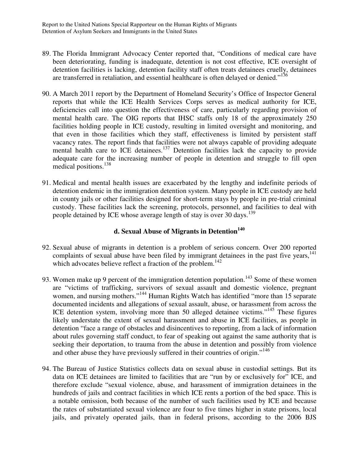- 89. The Florida Immigrant Advocacy Center reported that, "Conditions of medical care have been deteriorating, funding is inadequate, detention is not cost effective, ICE oversight of detention facilities is lacking, detention facility staff often treats detainees cruelly, detainees are transferred in retaliation, and essential healthcare is often delayed or denied."<sup>136</sup>
- 90. A March 2011 report by the Department of Homeland Security's Office of Inspector General reports that while the ICE Health Services Corps serves as medical authority for ICE, deficiencies call into question the effectiveness of care, particularly regarding provision of mental health care. The OIG reports that IHSC staffs only 18 of the approximately 250 facilities holding people in ICE custody, resulting in limited oversight and monitoring, and that even in those facilities which they staff, effectiveness is limited by persistent staff vacancy rates. The report finds that facilities were not always capable of providing adequate mental health care to ICE detainees.<sup>137</sup> Detention facilities lack the capacity to provide adequate care for the increasing number of people in detention and struggle to fill open medical positions.<sup>138</sup>
- 91. Medical and mental health issues are exacerbated by the lengthy and indefinite periods of detention endemic in the immigration detention system. Many people in ICE custody are held in county jails or other facilities designed for short-term stays by people in pre-trial criminal custody. These facilities lack the screening, protocols, personnel, and facilities to deal with people detained by ICE whose average length of stay is over 30 days.<sup>139</sup>

#### **d. Sexual Abuse of Migrants in Detention<sup>140</sup>**

- 92. Sexual abuse of migrants in detention is a problem of serious concern. Over 200 reported complaints of sexual abuse have been filed by immigrant detainees in the past five years,  $141$ which advocates believe reflect a fraction of the problem. $142$
- 93. Women make up 9 percent of the immigration detention population.<sup>143</sup> Some of these women are "victims of trafficking, survivors of sexual assault and domestic violence, pregnant women, and nursing mothers."<sup>144</sup> Human Rights Watch has identified "more than 15 separate documented incidents and allegations of sexual assault, abuse, or harassment from across the ICE detention system, involving more than 50 alleged detainee victims."<sup>145</sup> These figures likely understate the extent of sexual harassment and abuse in ICE facilities, as people in detention "face a range of obstacles and disincentives to reporting, from a lack of information about rules governing staff conduct, to fear of speaking out against the same authority that is seeking their deportation, to trauma from the abuse in detention and possibly from violence and other abuse they have previously suffered in their countries of origin."<sup>146</sup>
- 94. The Bureau of Justice Statistics collects data on sexual abuse in custodial settings. But its data on ICE detainees are limited to facilities that are "run by or exclusively for" ICE, and therefore exclude "sexual violence, abuse, and harassment of immigration detainees in the hundreds of jails and contract facilities in which ICE rents a portion of the bed space. This is a notable omission, both because of the number of such facilities used by ICE and because the rates of substantiated sexual violence are four to five times higher in state prisons, local jails, and privately operated jails, than in federal prisons, according to the 2006 BJS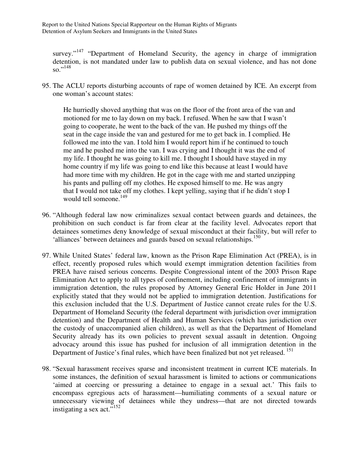survey."<sup>147</sup> "Department of Homeland Security, the agency in charge of immigration detention, is not mandated under law to publish data on sexual violence, and has not done so."<sup>148</sup>

95. The ACLU reports disturbing accounts of rape of women detained by ICE. An excerpt from one woman's account states:

He hurriedly shoved anything that was on the floor of the front area of the van and motioned for me to lay down on my back. I refused. When he saw that I wasn't going to cooperate, he went to the back of the van. He pushed my things off the seat in the cage inside the van and gestured for me to get back in. I complied. He followed me into the van. I told him I would report him if he continued to touch me and he pushed me into the van. I was crying and I thought it was the end of my life. I thought he was going to kill me. I thought I should have stayed in my home country if my life was going to end like this because at least I would have had more time with my children. He got in the cage with me and started unzipping his pants and pulling off my clothes. He exposed himself to me. He was angry that I would not take off my clothes. I kept yelling, saying that if he didn't stop I would tell someone.<sup>149</sup>

- 96. "Although federal law now criminalizes sexual contact between guards and detainees, the prohibition on such conduct is far from clear at the facility level. Advocates report that detainees sometimes deny knowledge of sexual misconduct at their facility, but will refer to 'alliances' between detainees and guards based on sexual relationships.<sup>150</sup>
- 97. While United States' federal law, known as the Prison Rape Elimination Act (PREA), is in effect, recently proposed rules which would exempt immigration detention facilities from PREA have raised serious concerns. Despite Congressional intent of the 2003 Prison Rape Elimination Act to apply to all types of confinement, including confinement of immigrants in immigration detention, the rules proposed by Attorney General Eric Holder in June 2011 explicitly stated that they would not be applied to immigration detention. Justifications for this exclusion included that the U.S. Department of Justice cannot create rules for the U.S. Department of Homeland Security (the federal department with jurisdiction over immigration detention) and the Department of Health and Human Services (which has jurisdiction over the custody of unaccompanied alien children), as well as that the Department of Homeland Security already has its own policies to prevent sexual assault in detention. Ongoing advocacy around this issue has pushed for inclusion of all immigration detention in the Department of Justice's final rules, which have been finalized but not yet released.<sup>151</sup>
- 98. "Sexual harassment receives sparse and inconsistent treatment in current ICE materials. In some instances, the definition of sexual harassment is limited to actions or communications 'aimed at coercing or pressuring a detainee to engage in a sexual act.' This fails to encompass egregious acts of harassment—humiliating comments of a sexual nature or unnecessary viewing of detainees while they undress—that are not directed towards instigating a sex act."<sup>152</sup>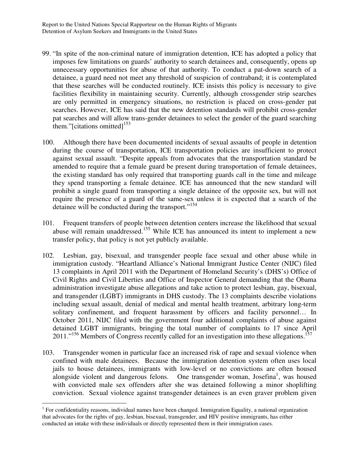- 99. "In spite of the non-criminal nature of immigration detention, ICE has adopted a policy that imposes few limitations on guards' authority to search detainees and, consequently, opens up unnecessary opportunities for abuse of that authority. To conduct a pat-down search of a detainee, a guard need not meet any threshold of suspicion of contraband; it is contemplated that these searches will be conducted routinely. ICE insists this policy is necessary to give facilities flexibility in maintaining security. Currently, although crossgender strip searches are only permitted in emergency situations, no restriction is placed on cross-gender pat searches. However, ICE has said that the new detention standards will prohibit cross-gender pat searches and will allow trans-gender detainees to select the gender of the guard searching them."[citations omitted] $153$
- 100. Although there have been documented incidents of sexual assaults of people in detention during the course of transportation, ICE transportation policies are insufficient to protect against sexual assault. "Despite appeals from advocates that the transportation standard be amended to require that a female guard be present during transportation of female detainees, the existing standard has only required that transporting guards call in the time and mileage they spend transporting a female detainee. ICE has announced that the new standard will prohibit a single guard from transporting a single detainee of the opposite sex, but will not require the presence of a guard of the same-sex unless it is expected that a search of the detainee will be conducted during the transport."<sup>154</sup>
- 101. Frequent transfers of people between detention centers increase the likelihood that sexual abuse will remain unaddressed.<sup>155</sup> While ICE has announced its intent to implement a new transfer policy, that policy is not yet publicly available.
- 102. Lesbian, gay, bisexual, and transgender people face sexual and other abuse while in immigration custody. "Heartland Alliance's National Immigrant Justice Center (NIJC) filed 13 complaints in April 2011 with the Department of Homeland Security's (DHS's) Office of Civil Rights and Civil Liberties and Office of Inspector General demanding that the Obama administration investigate abuse allegations and take action to protect lesbian, gay, bisexual, and transgender (LGBT) immigrants in DHS custody. The 13 complaints describe violations including sexual assault, denial of medical and mental health treatment, arbitrary long-term solitary confinement, and frequent harassment by officers and facility personnel… In October 2011, NIJC filed with the government four additional complaints of abuse against detained LGBT immigrants, bringing the total number of complaints to 17 since April 2011."<sup>156</sup> Members of Congress recently called for an investigation into these allegations.<sup>157</sup>
- 103. Transgender women in particular face an increased risk of rape and sexual violence when confined with male detainees. Because the immigration detention system often uses local jails to house detainees, immigrants with low-level or no convictions are often housed alongside violent and dangerous felons. One transgender woman, Josefina<sup>1</sup>, was housed with convicted male sex offenders after she was detained following a minor shoplifting conviction. Sexual violence against transgender detainees is an even graver problem given

 $\overline{a}$ 

 $1$  For confidentiality reasons, individual names have been changed. Immigration Equality, a national organization that advocates for the rights of gay, lesbian, bisexual, transgender, and HIV positive immigrants, has either conducted an intake with these individuals or directly represented them in their immigration cases.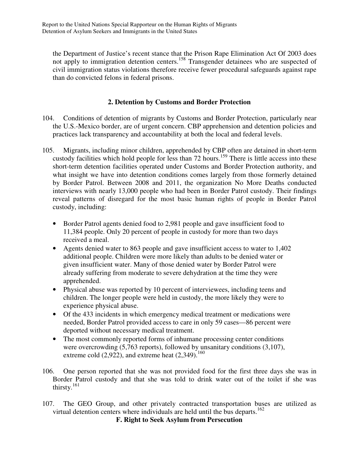the Department of Justice's recent stance that the Prison Rape Elimination Act Of 2003 does not apply to immigration detention centers.<sup>158</sup> Transgender detainees who are suspected of civil immigration status violations therefore receive fewer procedural safeguards against rape than do convicted felons in federal prisons.

#### **2. Detention by Customs and Border Protection**

- 104. Conditions of detention of migrants by Customs and Border Protection, particularly near the U.S.-Mexico border, are of urgent concern. CBP apprehension and detention policies and practices lack transparency and accountability at both the local and federal levels.
- 105. Migrants, including minor children, apprehended by CBP often are detained in short-term custody facilities which hold people for less than 72 hours.<sup>159</sup> There is little access into these short-term detention facilities operated under Customs and Border Protection authority, and what insight we have into detention conditions comes largely from those formerly detained by Border Patrol. Between 2008 and 2011, the organization No More Deaths conducted interviews with nearly 13,000 people who had been in Border Patrol custody. Their findings reveal patterns of disregard for the most basic human rights of people in Border Patrol custody, including:
	- Border Patrol agents denied food to 2,981 people and gave insufficient food to 11,384 people. Only 20 percent of people in custody for more than two days received a meal.
	- Agents denied water to 863 people and gave insufficient access to water to 1,402 additional people. Children were more likely than adults to be denied water or given insufficient water. Many of those denied water by Border Patrol were already suffering from moderate to severe dehydration at the time they were apprehended.
	- Physical abuse was reported by 10 percent of interviewees, including teens and children. The longer people were held in custody, the more likely they were to experience physical abuse.
	- Of the 433 incidents in which emergency medical treatment or medications were needed, Border Patrol provided access to care in only 59 cases—86 percent were deported without necessary medical treatment.
	- The most commonly reported forms of inhumane processing center conditions were overcrowding (5,763 reports), followed by unsanitary conditions (3,107), extreme cold  $(2,922)$ , and extreme heat  $(2,349)$ .<sup>160</sup>
- 106. One person reported that she was not provided food for the first three days she was in Border Patrol custody and that she was told to drink water out of the toilet if she was thirsty.<sup>161</sup>
- 107. The GEO Group, and other privately contracted transportation buses are utilized as virtual detention centers where individuals are held until the bus departs.<sup>162</sup>

**F. Right to Seek Asylum from Persecution**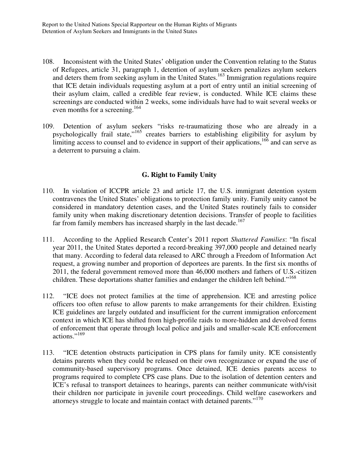- 108. Inconsistent with the United States' obligation under the Convention relating to the Status of Refugees, article 31, paragraph 1, detention of asylum seekers penalizes asylum seekers and deters them from seeking asylum in the United States.<sup>163</sup> Immigration regulations require that ICE detain individuals requesting asylum at a port of entry until an initial screening of their asylum claim, called a credible fear review, is conducted. While ICE claims these screenings are conducted within 2 weeks, some individuals have had to wait several weeks or even months for a screening.<sup>164</sup>
- 109. Detention of asylum seekers "risks re-traumatizing those who are already in a psychologically frail state," $165$  creates barriers to establishing eligibility for asylum by limiting access to counsel and to evidence in support of their applications,<sup>166</sup> and can serve as a deterrent to pursuing a claim.

#### **G. Right to Family Unity**

- 110. In violation of ICCPR article 23 and article 17, the U.S. immigrant detention system contravenes the United States' obligations to protection family unity. Family unity cannot be considered in mandatory detention cases, and the United States routinely fails to consider family unity when making discretionary detention decisions. Transfer of people to facilities far from family members has increased sharply in the last decade.<sup>167</sup>
- 111. According to the Applied Research Center's 2011 report *Shattered Families*: "In fiscal year 2011, the United States deported a record-breaking 397,000 people and detained nearly that many. According to federal data released to ARC through a Freedom of Information Act request, a growing number and proportion of deportees are parents. In the first six months of 2011, the federal government removed more than 46,000 mothers and fathers of U.S.-citizen children. These deportations shatter families and endanger the children left behind."<sup>168</sup>
- 112. "ICE does not protect families at the time of apprehension. ICE and arresting police officers too often refuse to allow parents to make arrangements for their children. Existing ICE guidelines are largely outdated and insufficient for the current immigration enforcement context in which ICE has shifted from high-profile raids to more-hidden and devolved forms of enforcement that operate through local police and jails and smaller-scale ICE enforcement actions."<sup>169</sup>
- 113. "ICE detention obstructs participation in CPS plans for family unity. ICE consistently detains parents when they could be released on their own recognizance or expand the use of community-based supervisory programs. Once detained, ICE denies parents access to programs required to complete CPS case plans. Due to the isolation of detention centers and ICE's refusal to transport detainees to hearings, parents can neither communicate with/visit their children nor participate in juvenile court proceedings. Child welfare caseworkers and attorneys struggle to locate and maintain contact with detained parents."<sup>170</sup>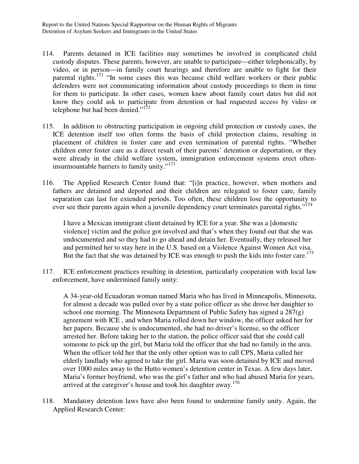- 114. Parents detained in ICE facilities may sometimes be involved in complicated child custody disputes. These parents, however, are unable to participate—either telephonically, by video, or in person—in family court hearings and therefore are unable to fight for their parental rights.<sup>171</sup> "In some cases this was because child welfare workers or their public defenders were not communicating information about custody proceedings to them in time for them to participate. In other cases, women knew about family court dates but did not know they could ask to participate from detention or had requested access by video or telephone but had been denied." $1^{72}$
- 115. In addition to obstructing participation in ongoing child protection or custody cases, the ICE detention itself too often forms the basis of child protection claims, resulting in placement of children in foster care and even termination of parental rights. "Whether children enter foster care as a direct result of their parents' detention or deportation, or they were already in the child welfare system, immigration enforcement systems erect ofteninsurmountable barriers to family unity."<sup>173</sup>
- 116. The Applied Research Center found that: "[i]n practice, however, when mothers and fathers are detained and deported and their children are relegated to foster care, family separation can last for extended periods. Too often, these children lose the opportunity to ever see their parents again when a juvenile dependency court terminates parental rights."<sup>174</sup>

I have a Mexican immigrant client detained by ICE for a year. She was a [domestic violence] victim and the police got involved and that's when they found out that she was undocumented and so they had to go ahead and detain her. Eventually, they released her and permitted her to stay here in the U.S. based on a Violence Against Women Act visa. But the fact that she was detained by ICE was enough to push the kids into foster care.<sup>175</sup>

117. ICE enforcement practices resulting in detention, particularly cooperation with local law enforcement, have undermined family unity:

A 34-year-old Ecuadoran woman named Maria who has lived in Minneapolis, Minnesota, for almost a decade was pulled over by a state police officer as she drove her daughter to school one morning. The Minnesota Department of Public Safety has signed a 287(g) agreement with ICE , and when Maria rolled down her window, the officer asked her for her papers. Because she is undocumented, she had no driver's license, so the officer arrested her. Before taking her to the station, the police officer said that she could call someone to pick up the girl, but Maria told the officer that she had no family in the area. When the officer told her that the only other option was to call CPS, Maria called her elderly landlady who agreed to take the girl. Maria was soon detained by ICE and moved over 1000 miles away to the Hutto women's detention center in Texas. A few days later, Maria's former boyfriend, who was the girl's father and who had abused Maria for years, arrived at the caregiver's house and took his daughter away.<sup>176</sup>

118. Mandatory detention laws have also been found to undermine family unity. Again, the Applied Research Center: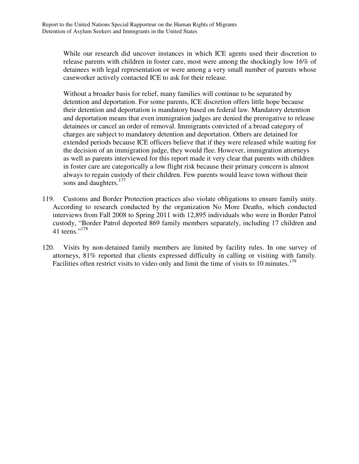While our research did uncover instances in which ICE agents used their discretion to release parents with children in foster care, most were among the shockingly low 16% of detainees with legal representation or were among a very small number of parents whose caseworker actively contacted ICE to ask for their release.

Without a broader basis for relief, many families will continue to be separated by detention and deportation. For some parents, ICE discretion offers little hope because their detention and deportation is mandatory based on federal law. Mandatory detention and deportation means that even immigration judges are denied the prerogative to release detainees or cancel an order of removal. Immigrants convicted of a broad category of charges are subject to mandatory detention and deportation. Others are detained for extended periods because ICE officers believe that if they were released while waiting for the decision of an immigration judge, they would flee. However, immigration attorneys as well as parents interviewed for this report made it very clear that parents with children in foster care are categorically a low flight risk because their primary concern is almost always to regain custody of their children. Few parents would leave town without their sons and daughters.<sup>177</sup>

- 119. Customs and Border Protection practices also violate obligations to ensure family unity. According to research conducted by the organization No More Deaths, which conducted interviews from Fall 2008 to Spring 2011 with 12,895 individuals who were in Border Patrol custody, "Border Patrol deported 869 family members separately, including 17 children and 41 teens."<sup>178</sup>
- 120. Visits by non-detained family members are limited by facility rules. In one survey of attorneys, 81% reported that clients expressed difficulty in calling or visiting with family. Facilities often restrict visits to video only and limit the time of visits to 10 minutes.<sup>179</sup>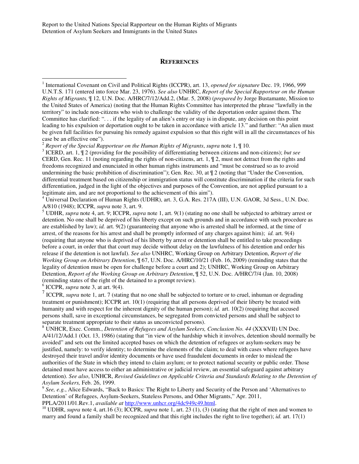#### **REFERENCES**

<sup>2</sup> *Report of the Special Rapporteur on the Human Rights of Migrants*, *supra* note 1, ¶ 10.

3 ICERD, art. 1, ¶ 2 (providing for the possibility of differentiating between citizens and non-citizens); *but see* CERD, Gen. Rec. 11 (noting regarding the rights of non-citizens, art. 1, ¶ 2, must not detract from the rights and freedoms recognized and enunciated in other human rights instruments and "must be construed so as to avoid undermining the basic prohibition of discrimination"); Gen. Rec. 30, at ¶ 2 (noting that "Under the Convention, differential treatment based on citizenship or immigration status will constitute discrimination if the criteria for such differentiation, judged in the light of the objectives and purposes of the Convention, are not applied pursuant to a legitimate aim, and are not proportional to the achievement of this aim").

<sup>4</sup> Universal Declaration of Human Rights (UDHR), art. 3, G.A. Res. 217A (III), U.N. GAOR, 3d Sess., U.N. Doc. A/810 (1948); ICCPR, *supra* note 3, art. 9.

<sup>5</sup> UDHR, *supra* note 4, art. 9; ICCPR, *supra* note 1, art. 9(1) (stating no one shall be subjected to arbitrary arrest or detention. No one shall be deprived of his liberty except on such grounds and in accordance with such procedure as are established by law); *id.* art. 9(2) (guaranteeing that anyone who is arrested shall be informed, at the time of arrest, of the reasons for his arrest and shall be promptly informed of any charges against him); *id.* art. 9(4) (requiring that anyone who is deprived of his liberty by arrest or detention shall be entitled to take proceedings before a court, in order that that court may decide without delay on the lawfulness of his detention and order his release if the detention is not lawful). *See also* UNHRC, Working Group on Arbitrary Detention, *Report of the Working Group on Arbitrary Detention*, ¶ 67, U.N. Doc. A/HRC/10/21 (Feb. 16, 2009) (reminding states that the legality of detention must be open for challenge before a court and 2); UNHRC, Working Group on Arbitrary Detention, *Report of the Working Group on Arbitrary Detention*, ¶ 52, U.N. Doc. A/HRC/7/4 (Jan. 10, 2008) (reminding states of the right of the detained to a prompt review).

 $6$  ICCPR, *supra* note 3, at art. 9(4).

 $\overline{a}$ 

<sup>7</sup> ICCPR, *supra* note 1, art. 7 (stating that no one shall be subjected to torture or to cruel, inhuman or degrading treatment or punishment); ICCPR art. 10(1) (requiring that all persons deprived of their liberty be treated with humanity and with respect for the inherent dignity of the human person); *id.* art. 10(2) (requiring that accused persons shall, save in exceptional circumstances, be segregated from convicted persons and shall be subject to separate treatment appropriate to their status as unconvicted persons).

<sup>8</sup> UNHCR, Exec. Comm., *Detention of Refugees and Asylum Seekers, Conclusion No. 44* (XXXVII) UN Doc. A/41/12/Add.1 (Oct. 13, 1986) (stating that "in view of the hardship which it involves, detention should normally be avoided" and sets out the limited accepted bases on which the detention of refugees or asylum-seekers may be justified, namely: to verify identity; to determine the elements of the claim; to deal with cases where refugees have destroyed their travel and/or identity documents or have used fraudulent documents in order to mislead the authorities of the State in which they intend to claim asylum; or to protect national security or public order. Those detained must have access to either an administrative or judicial review, an essential safeguard against arbitrary detention). *See also*, UNHCR, *Revised Guidelines on Applicable Criteria and Standards Relating to the Detention of Asylum Seekers,* Feb. 26, 1999.

<sup>9</sup> See, e.g., Alice Edwards, "Back to Basics: The Right to Liberty and Security of the Person and 'Alternatives to Detention' of Refugees, Asylum-Seekers, Stateless Persons, and Other Migrants," Apr. 2011, PPLA/2011/01.Rev.1, *available at* http://www.unhcr.org/4dc949c49.html.

<sup>10</sup> UDHR, *supra* note 4, art.16 (3); ICCPR, *supra* note 1, art. 23 (1), (3) (stating that the right of men and women to marry and found a family shall be recognized and that this right includes the right to live together); *id.* art. 17(1)

<sup>&</sup>lt;sup>1</sup> International Covenant on Civil and Political Rights (ICCPR), art. 13, *opened for signature* Dec. 19, 1966, 999 U.N.T.S. 171 (entered into force Mar. 23, 1976). *See also* UNHRC, *Report of the Special Rapporteur on the Human Rights of Migrants,* ¶ 12, U.N. Doc. A/HRC/7/12/Add.2, (Mar. 5, 2008) (*prepared by* Jorge Bustamante, Mission to the United States of America) (noting that the Human Rights Committee has interpreted the phrase "lawfully in the territory" to include non-citizens who wish to challenge the validity of the deportation order against them. The Committee has clarified: ". . . if the legality of an alien's entry or stay is in dispute, any decision on this point leading to his expulsion or deportation ought to be taken in accordance with article 13." and further: "An alien must be given full facilities for pursuing his remedy against expulsion so that this right will in all the circumstances of his case be an effective one").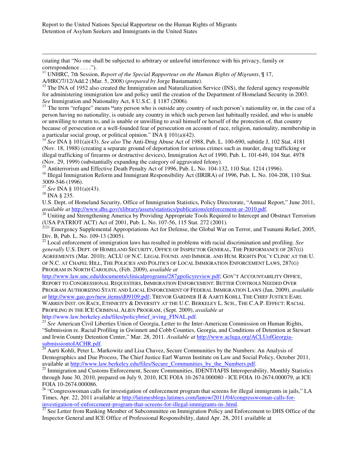(stating that "No one shall be subjected to arbitrary or unlawful interference with his privacy, family or correspondence . . . .").

<sup>11</sup> UNHRC, 7th Session, *Report of the Special Rapporteur on the Human Rights of Migrants*, ¶ 17, A/HRC/7/12/Add.2 (Mar. 5, 2008) (*prepared by* Jorge Bustamante).

 $12$  The INA of 1952 also created the Immigration and Naturalization Service (INS), the federal agency responsible for administering immigration law and policy until the creation of the Department of Homeland Security in 2003. *See* Immigration and Nationality Act, 8 U.S.C. § 1187 (2006).

<sup>13</sup> The term "refugee" means "any person who is outside any country of such person's nationality or, in the case of a person having no nationality, is outside any country in which such person last habitually resided, and who is unable or unwilling to return to, and is unable or unwilling to avail himself or herself of the protection of, that country because of persecution or a well-founded fear of persecution on account of race, religion, nationality, membership in a particular social group, or political opinion." INA § 101(a)(42).

<sup>14</sup> *See* INA § 101(a)(43). *See also* The Anti-Drug Abuse Act of 1988, Pub. L. 100-690, subtitle J, 102 Stat. 4181 (Nov. 18, 1988) (creating a separate ground of deportation for serious crimes such as murder, drug trafficking or illegal trafficking of firearms or destructive devices), Immigration Act of 1990, Pub. L. 101-649, 104 Stat. 4978 (Nov. 29, 1999) (substantially expanding the category of aggravated felony).

<sup>15</sup> Antiterrorism and Effective Death Penalty Act of 1996, Pub. L. No. 104-132, 110 Stat. 1214 (1996).

<sup>16</sup> Illegal Immigration Reform and Immigrant Responsibility Act (IIRIRA) of 1996, Pub. L. No. 104-208, 110 Stat. 3009-546 (1996).

<sup>17</sup> *See* INA § 101(a)(43).

 $18$  INA  $\frac{235}{.}$ 

 $\overline{a}$ 

U.S. Dept. of Homeland Security, Office of Immigration Statistics, Policy Directorate, "Annual Report," June 2011, *available at* http://www.dhs.gov/xlibrary/assets/statistics/publications/enforcement-ar-2010.pdf.

<sup>20</sup> Uniting and Strengthening America by Providing Appropriate Tools Required to Intercept and Obstruct Terrorism (USA PATRIOT ACT) Act of 2001, Pub. L. No. 107-56, 115 Stat. 272 (2001).

<sup>2121</sup> Emergency Supplemental Appropriations Act for Defense, the Global War on Terror, and Tsunami Relief, 2005, Div. B, Pub. L. No. 109-13 (2005).

<sup>22</sup> Local enforcement of immigration laws has resulted in problems with racial discrimination and profiling. *See generally* U.S. DEPT. OF HOMELAND SECURITY, OFFICE OF INSPECTOR GENERAL, THE PERFORMANCE OF 287(G) AGREEMENTS (Mar. 2010); ACLU OF N.C. LEGAL FOUND. AND IMMIGR. AND HUM. RIGHTS POL'Y CLINIC AT THE U. OF N.C. AT CHAPEL HILL, THE POLICIES AND POLITICS OF LOCAL IMMIGRATION ENFORCEMENT LAWS, 287(G) PROGRAM IN NORTH CAROLINA, (Feb. 2009), *available at* 

http://www.law.unc.edu/documents/clinicalprograms/287gpolicyreview.pdf; GOV'T ACCOUNTABILITY OFFICE, REPORT TO CONGRESSIONAL REQUESTERS, IMMIGRATION ENFORCEMENT: BETTER CONTROLS NEEDED OVER PROGRAM AUTHORIZING STATE AND LOCAL ENFORCEMENT OF FEDERAL IMMIGRATION LAWS (Jan. 2009), *available at* http://www.gao.gov/new.items/d09109.pdf; TREVOR GARDNER II & AARTI KOHLI, THE CHIEF JUSTICE EARL WARREN INST. ON RACE, ETHNICITY & DIVERSITY AT THE U.C. BERKELEY L. SCH., THE C.A.P. EFFECT: RACIAL PROFILING IN THE ICE CRIMINAL ALIEN PROGRAM, (Sept. 2009), *available at*  http://www.law.berkeley.edu/files/policybrief\_irving\_FINAL.pdf.

<sup>23</sup> See American Civil Liberties Union of Georgia, Letter to the Inter-American Commission on Human Rights, "Submission re. Racial Profiling in Gwinnett and Cobb Counties, Georgia, and Conditions of Detention at Stewart and Irwin County Detention Center," Mar. 28, 2011. *Available at* http://www.acluga.org/ACLUofGeorgiasubmissiontoIACHR.pdf.

<sup>24</sup> Aarti Kohli, Peter L. Markowitz and Lisa Chavez, Secure Communities by the Numbers: An Analysis of Demographics and Due Process, The Chief Justice Earl Warren Institute on Law and Social Policy, October 2011, available at http://www.law.berkeley.edu/files/Secure\_Communities\_by\_the\_Numbers.pdf.

<sup>25</sup> Immigration and Customs Enforcement, Secure Communities, IDENT/IAFIS Interoperability, Monthly Statistics through June 30, 2010, prepared on July 9, 2010, ICE FOIA 10-2674.000080 - ICE FOIA 10-2674.000079, at ICE FOIA 10-2674.000086.

<sup>26</sup> "Congresswoman calls for investigation of enforcement program that screens for illegal immigrants in jails," LA Times, Apr. 22, 2011 available at http://latimesblogs.latimes.com/lanow/2011/04/congresswoman-calls-forinvestigation-of-enforcement-program-that-screens-for-illegal-immigrants-in-.html.

<sup>27</sup> See Letter from Ranking Member of Subcommittee on Immigration Policy and Enforcement to DHS Office of the Inspector General and ICE Office of Professional Responsibility, dated Apr. 28, 2011 available at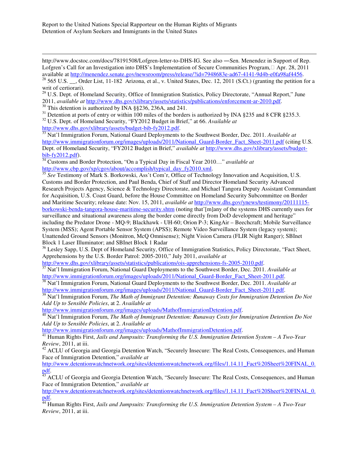http://www.docstoc.com/docs/78191508/Lofgren-letter-to-DHS-IG. See also —Sen. Menendez in Support of Rep. Lofgren's Call for an Investigation into DHS's Implementation of Secure Communities Program,□ Apr. 28, 2011 available at http://menendez.senate.gov/newsroom/press/release/?id=7948683e-ad67-4141-9d4b-e0fa98af4456.

<sup>29</sup> U.S. Dept. of Homeland Security, Office of Immigration Statistics, Policy Directorate, "Annual Report," June 2011, *available at* http://www.dhs.gov/xlibrary/assets/statistics/publications/enforcement-ar-2010.pdf.

 $30$  This detention is authorized by INA §§236, 236A, and 241.

 $\overline{a}$ 

 $31$  Detention at ports of entry or within 100 miles of the borders is authorized by INA §235 and 8 CFR §235.3.

<sup>32</sup> U.S. Dept. of Homeland Security, "FY2012 Budget in Brief," at 66. *Available at*

http://www.dhs.gov/xlibrary/assets/budget-bib-fy2012.pdf.<br> $\frac{http://www.dhs.gov/xlibrary/assets/budget-bib-fy2012.pdf}{33\text{ N}of'1\text{ Im}\text{m}12.01}$ 

<sup>33</sup> Nat'l Immigration Forum, National Guard Deployments to the Southwest Border, Dec. 2011. *Available at*  http://www.immigrationforum.org/images/uploads/2011/National\_Guard-Border\_Fact\_Sheet-2011.pdf (citing U.S. Dept. of Homeland Security, "FY2012 Budget in Brief," *available at* http://www.dhs.gov/xlibrary/assets/budgetbib-fy2012.pdf).

<sup>34</sup> Customs and Border Protection, "On a Typical Day in Fiscal Year 2010…" *available at* http://www.cbp.gov/xp/cgov/about/accomplish/typical\_day\_fy2010.xml.

<sup>35</sup> See Testimony of Mark S. Borkowski, Ass't Com'r, Office of Technology Innovation and Acquisition, U.S. Customs and Border Protection, and Paul Benda, Chief of Staff and Director Homeland Security Advanced Research Projects Agency, Science & Technology Directorate, and Michael Tangora Deputy Assistant Commandant for Acquisition, U.S. Coast Guard, before the House Committee on Homeland Security Subcommittee on Border and Maritime Security; release date: Nov. 15, 2011, *available at* http://www.dhs.gov/ynews/testimony/20111115 borkowski-benda-tangora-house-maritime-security.shtm (noting that'[m]any of the systems DHS currently uses for surveillance and situational awareness along the border come directly from DoD development and heritage" including the Predator Drone - MQ-9; Blackhawk - UH-60; Orion P-3; KingAir – Beechcraft; Mobile Surveillance System (MSS); Agent Portable Sensor System (APSS); Remote Video Surveillance System (legacy system); Unattended Ground Sensors (Monitron, McQ Omnisense); Night Vision Camera (FLIR Night Ranger); SBInet Block 1 Laser Illuminator; and SBInet Block 1 Radar

<sup>36</sup> Lesley Sapp, U.S. Dept of Homeland Security, Office of Immigration Statistics, Policy Directorate, "Fact Sheet, Apprehensions by the U.S. Border Patrol: 2005-2010," July 2011, *available at*

http://www.dhs.gov/xlibrary/assets/statistics/publications/ois-apprehensions-fs-2005-2010.pdf.<br>
Matil Immigration Factor Matil Contract Contract Contract Contract Contract Contract Contract Contract Contract Contract Contr

<sup>37</sup> Nat'l Immigration Forum, National Guard Deployments to the Southwest Border, Dec. 2011. *Available at*  http://www.immigrationforum.org/images/uploads/2011/National\_Guard-Border\_Fact\_Sheet-2011.pdf.

<sup>38</sup> Nat'l Immigration Forum, National Guard Deployments to the Southwest Border, Dec. 2011. *Available at*  http://www.immigrationforum.org/images/uploads/2011/National\_Guard-Border\_Fact\_Sheet-2011.pdf.

<sup>39</sup> Nat'l Immigration Forum, *The Math of Immigrant Detention: Runaway Costs for Immigration Detention Do Not Add Up to Sensible Policies*, at 2. *Available at*

http://www.immigrationforum.org/images/uploads/MathofImmigrationDetention.pdf.

<sup>40</sup> Nat'l Immigration Forum, *The Math of Immigrant Detention: Runaway Costs for Immigration Detention Do Not Add Up to Sensible Policies*, at 2. *Available at*

http://www.immigrationforum.org/images/uploads/MathofImmigrationDetention.pdf.

<sup>41</sup> Human Rights First, *Jails and Jumpsuits: Transforming the U.S. Immigration Detention System – A Two-Year Review*, 2011, at iii.

<sup>42</sup> ACLU of Georgia and Georgia Detention Watch, "Securely Insecure: The Real Costs, Consequences, and Human Face of Immigration Detention," *available at* 

http://www.detentionwatchnetwork.org/sites/detentionwatchnetwork.org/files/1.14.11\_Fact%20Sheet%20FINAL\_0. pdf.

<sup>43</sup> ACLU of Georgia and Georgia Detention Watch, "Securely Insecure: The Real Costs, Consequences, and Human Face of Immigration Detention," *available at* 

http://www.detentionwatchnetwork.org/sites/detentionwatchnetwork.org/files/1.14.11\_Fact%20Sheet%20FINAL\_0. pdf.

<sup>44</sup> Human Rights First, *Jails and Jumpsuits: Transforming the U.S. Immigration Detention System – A Two-Year Review*, 2011, at iii.

<sup>&</sup>lt;sup>28</sup> 565 U.S.  $\overline{\phantom{a}}$ , Order List, 11-182 Arizona, et al., v. United States, Dec. 12, 2011 (S.Ct.) (granting the petition for a writ of certiorari).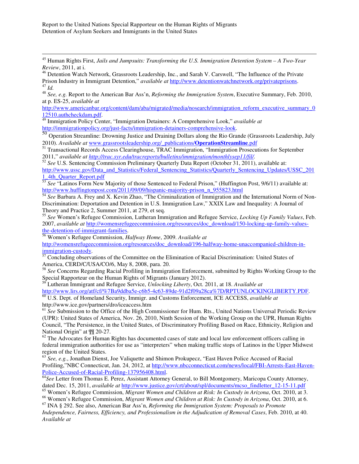$\overline{a}$ 

<sup>48</sup> *See, e.g.* Report to the American Bar Ass'n, *Reforming the Immigration System*, Executive Summary, Feb. 2010, at p. ES-25, *available at*

http://www.americanbar.org/content/dam/aba/migrated/media/nosearch/immigration\_reform\_executive\_summary\_0 12510.authcheckdam.pdf.

<sup>49</sup> Immigration Policy Center, "Immigration Detainers: A Comprehensive Look," *available at* http://immigrationpolicy.org/just-facts/immigration-detainers-comprehensive-look.

<sup>50</sup> Operation Streamline: Drowning Justice and Draining Dollars along the Rio Grande (Grassroots Leadership, July 2010). *Available at* www.grassrootsleadership.org/\_publications/**OperationStreamline**.pdf

<sup>51</sup> Transactional Records Access Clearinghouse, TRAC Immigration, "Immigration Prosecutions for September 2011," *available at http://trac.syr.edu/tracreports/bulletins/immigration/monthlysep11/fil/.* 

<sup>52</sup> *See* U.S. Sentencing Commission Preliminary Quarterly Data Report (October 31, 2011), available at: http://www.ussc.gov/Data\_and\_Statistics/Federal\_Sentencing\_Statistics/Quarterly\_Sentencing\_Updates/USSC\_201 1\_4th\_Quarter\_Report.pdf

<sup>53</sup> *See* "Latinos Form New Majority of those Sentenced to Federal Prison," (Huffington Post, 9/6/11) available at: http://www.huffingtonpost.com/2011/09/09/hispanic-majority-prison\_n\_955823.html

<sup>54</sup> *See* Barbara A. Frey and X. Kevin Zhao, "The Criminalization of Immigration and the International Norm of Non-Discrimination: Deportation and Detention in U.S. Immigration Law," XXIX Law and Inequality: A Journal of Theory and Practice 2, Summer 2011, at 279, et seq.

<sup>55</sup> *See* Women's Refugee Commission, Lutheran Immigration and Refugee Service, *Locking Up Family Values*, Feb. 2007, *available at* http://womensrefugeecommission.org/resources/doc\_download/150-locking-up-family-valuesthe-detention-of-immigrant-families.

<sup>56</sup> Women's Refugee Commission, *Halfway Home*, 2009. *Available at* 

http://womensrefugeecommission.org/resources/doc\_download/196-halfway-home-unaccompanied-children-in- $\frac{\text{immigration-custody}}{57 \text{C}}$ 

<sup>57</sup> Concluding observations of the Committee on the Elimination of Racial Discrimination: United States of America, CERD/C/USA/CO/6, May 8, 2008, para. 20.

<sup>58</sup> *See* Concerns Regarding Racial Profiling in Immigration Enforcement, submitted by Rights Working Group to the Special Rapporteur on the Human Rights of Migrants (January 2012).

<sup>59</sup> Lutheran Immigrant and Refugee Service, *Unlocking Liberty*, Oct. 2011, at 18. *Available at* http://www.lirs.org/atf/cf/%7Ba9ddba5e-c6b5-4c63-89de-91d2f09a28ca%7D/RPTUNLOCKINGLIBERTY.PDF.

<sup>60</sup> U.S. Dept. of Homeland Security, Immigr. and Customs Enforcement, ICE ACCESS, *available at*  http://www.ice.gov/partners/dro/iceaccess.htm

<sup>61</sup> *See* Submission to the Office of the High Commissioner for Hum. Rts., United Nations Universal Periodic Review (UPR): United States of America, Nov. 26, 2010, Ninth Session of the Working Group on the UPR, Human Rights Council, "The Persistence, in the United States, of Discriminatory Profiling Based on Race, Ethnicity, Religion and National Origin" at ¶¶ 20-27.

 $62$  The Advocates for Human Rights has documented cases of state and local law enforcement officers calling in federal immigration authorities for use as "interpreters" when making traffic stops of Latinos in the Upper Midwest region of the United States.

<sup>63</sup> *See, e.g.*, Jonathan Dienst, Joe Valiquette and Shimon Prokupecz, "East Haven Police Accused of Racial Profiling,"NBC Connecticut, Jan. 24, 2012, at http://www.nbcconnecticut.com/news/local/FBI-Arrests-East-Haven-Police-Accused-of-Racial-Profiling-137956408.html.

<sup>64</sup>See Letter from Thomas E. Perez, Assistant Attorney General, to Bill Montgomery, Maricopa County Attorney, dated Dec. 15, 2011, *available at* http://www.justice.gov/crt/about/spl/documents/mcso\_findletter\_12-15-11.pdf

<sup>65</sup> Women's Refugee Commission, *Migrant Women and Children at Risk: In Custody in Arizona*, Oct. 2010, at 3. <sup>66</sup> Women's Refugee Commission, *Migrant Women and Children at Risk: In Custody in Arizona*, Oct. 2010, at 6.

<sup>67</sup> INA § 292. See also, American Bar Ass'n, *Reforming the Immigration System: Proposals to Promote* 

*Independence, Fairness, Efficiency, and Professionalism in the Adjudication of Removal Cases*, Feb. 2010, at 40. *Available at*

<sup>45</sup> Human Rights First, *Jails and Jumpsuits: Transforming the U.S. Immigration Detention System – A Two-Year Review*, 2011, at i.

<sup>&</sup>lt;sup>46</sup> Detention Watch Network, Grassroots Leadership, Inc., and Sarah V. Carswell, "The Influence of the Private Prison Industry in Immigrant Detention," *available at* http://www.detentionwatchnetwork.org/privateprisons. <sup>47</sup> *Id.*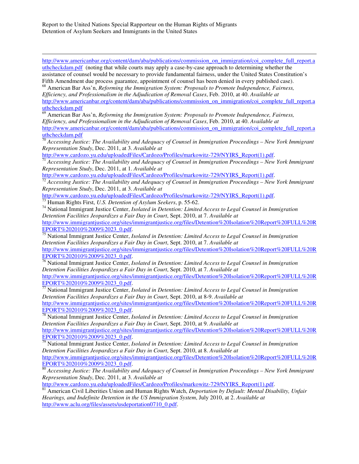$\overline{a}$ http://www.americanbar.org/content/dam/aba/publications/commission\_on\_immigration/coi\_complete\_full\_report.a uthcheckdam.pdf (noting that while courts may apply a case-by-case approach to determining whether the assistance of counsel would be necessary to provide fundamental fairness, under the United States Constitution's Fifth Amendment due process guarantee, appointment of counsel has been denied in every published case).

<sup>68</sup> American Bar Ass'n, *Reforming the Immigration System: Proposals to Promote Independence, Fairness, Efficiency, and Professionalism in the Adjudication of Removal Cases*, Feb. 2010, at 40. *Available at* http://www.americanbar.org/content/dam/aba/publications/commission\_on\_immigration/coi\_complete\_full\_report.a uthcheckdam.pdf

<sup>69</sup> American Bar Ass'n, *Reforming the Immigration System: Proposals to Promote Independence, Fairness, Efficiency, and Professionalism in the Adjudication of Removal Cases*, Feb. 2010, at 40. *Available at* http://www.americanbar.org/content/dam/aba/publications/commission\_on\_immigration/coi\_complete\_full\_report.a uthcheckdam.pdf

<sup>70</sup> *Accessing Justice: The Availability and Adequacy of Counsel in Immigration Proceedings – New York Immigrant Representation Study*, Dec. 2011, at 3. *Available at*

http://www.cardozo.yu.edu/uploadedFiles/Cardozo/Profiles/markowitz-729/NYIRS\_Report(1).pdf.

<sup>71</sup> *Accessing Justice: The Availability and Adequacy of Counsel in Immigration Proceedings – New York Immigrant Representation Study*, Dec. 2011, at 1. *Available at*

http://www.cardozo.yu.edu/uploadedFiles/Cardozo/Profiles/markowitz-729/NYIRS\_Report(1).pdf.

<sup>72</sup> *Accessing Justice: The Availability and Adequacy of Counsel in Immigration Proceedings – New York Immigrant Representation Study*, Dec. 2011, at 3. *Available at*

http://www.cardozo.yu.edu/uploadedFiles/Cardozo/Profiles/markowitz-729/NYIRS\_Report(1).pdf.

<sup>73</sup> Human Rights First, *U.S. Detention of Asylum Seekers*, p. 55-62.

<sup>74</sup> National Immigrant Justice Center, *Isolated in Detention: Limited Access to Legal Counsel in Immigration Detention Facilities Jeopardizes a Fair Day in Court*, Sept. 2010, at 7. *Available at*

http://www.immigrantjustice.org/sites/immigrantjustice.org/files/Detention%20Isolation%20Report%20FULL%20R EPORT%202010%2009%2023\_0.pdf.

<sup>75</sup> National Immigrant Justice Center, *Isolated in Detention: Limited Access to Legal Counsel in Immigration Detention Facilities Jeopardizes a Fair Day in Court*, Sept. 2010, at 7. *Available at*

http://www.immigrantjustice.org/sites/immigrantjustice.org/files/Detention%20Isolation%20Report%20FULL%20R EPORT%202010%2009%2023\_0.pdf.

<sup>76</sup> National Immigrant Justice Center, *Isolated in Detention: Limited Access to Legal Counsel in Immigration Detention Facilities Jeopardizes a Fair Day in Court*, Sept. 2010, at 7. *Available at*

http://www.immigrantjustice.org/sites/immigrantjustice.org/files/Detention%20Isolation%20Report%20FULL%20R EPORT%202010%2009%2023\_0.pdf.

<sup>77</sup> National Immigrant Justice Center, *Isolated in Detention: Limited Access to Legal Counsel in Immigration Detention Facilities Jeopardizes a Fair Day in Court*, Sept. 2010, at 8-9. *Available at* http://www.immigrantjustice.org/sites/immigrantjustice.org/files/Detention%20Isolation%20Report%20FULL%20R EPORT%202010%2009%2023\_0.pdf.

<sup>78</sup> National Immigrant Justice Center, *Isolated in Detention: Limited Access to Legal Counsel in Immigration Detention Facilities Jeopardizes a Fair Day in Court*, Sept. 2010, at 9. *Available at* http://www.immigrantjustice.org/sites/immigrantjustice.org/files/Detention%20Isolation%20Report%20FULL%20R EPORT%202010%2009%2023\_0.pdf.

<sup>79</sup> National Immigrant Justice Center, *Isolated in Detention: Limited Access to Legal Counsel in Immigration Detention Facilities Jeopardizes a Fair Day in Court*, Sept. 2010, at 8. *Available at* http://www.immigrantjustice.org/sites/immigrantjustice.org/files/Detention%20Isolation%20Report%20FULL%20R EPORT%202010%2009%2023\_0.pdf.

<sup>80</sup> *Accessing Justice: The Availability and Adequacy of Counsel in Immigration Proceedings – New York Immigrant Representation Study*, Dec. 2011, at 3. *Available at*

http://www.cardozo.yu.edu/uploadedFiles/Cardozo/Profiles/markowitz-729/NYIRS\_Report(1).pdf.

<sup>81</sup> American Civil Liberities Union and Human Rights Watch, *Deportation by Default: Mental Disability, Unfair Hearings, and Indefinite Detention in the US Immigration System*, July 2010, at 2. *Available at* http://www.aclu.org/files/assets/usdeportation0710\_0.pdf.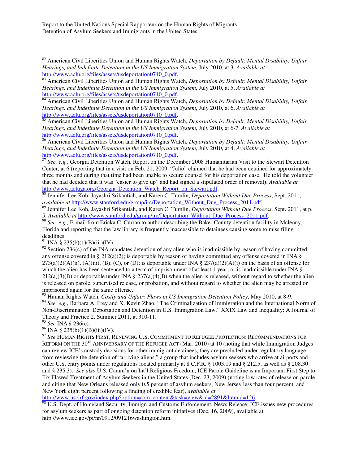<sup>82</sup> American Civil Liberities Union and Human Rights Watch, *Deportation by Default: Mental Disability, Unfair Hearings, and Indefinite Detention in the US Immigration System*, July 2010, at 3. *Available at* http://www.aclu.org/files/assets/usdeportation0710\_0.pdf.

<sup>83</sup> American Civil Liberities Union and Human Rights Watch, *Deportation by Default: Mental Disability, Unfair Hearings, and Indefinite Detention in the US Immigration System*, July 2010, at 5. *Available at* http://www.aclu.org/files/assets/usdeportation0710\_0.pdf.

84 American Civil Liberities Union and Human Rights Watch, *Deportation by Default: Mental Disability, Unfair Hearings, and Indefinite Detention in the US Immigration System*, July 2010, at 6. *Available at* http://www.aclu.org/files/assets/usdeportation0710\_0.pdf.

<sup>85</sup> American Civil Liberities Union and Human Rights Watch, *Deportation by Default: Mental Disability, Unfair Hearings, and Indefinite Detention in the US Immigration System*, July 2010, at 6-7. *Available at* http://www.aclu.org/files/assets/usdeportation0710\_0.pdf.

<sup>86</sup> American Civil Liberities Union and Human Rights Watch, *Deportation by Default: Mental Disability, Unfair Hearings, and Indefinite Detention in the US Immigration System*, July 2010, at 4. *Available at* http://www.aclu.org/files/assets/usdeportation0710\_0.pdf.

<sup>87</sup> See, e.g., Georgia Detention Watch, Report on the December 2008 Humanitarian Visit to the Stewart Detention Center, at 6 (reporting that in a visit on Feb. 21, 2009, "Julio" claimed that he had been detained for approximately three months and during that time had been unable to secure counsel for his deportation case. He told the volunteer that he had decided that it was "easier to give up" and had signed a stipulated order of removal). *Available at* http://www.acluga.org/Georgia\_Detention\_Watch\_Report\_on\_Stewart.pdf.

<sup>88</sup> Jennifer Lee Koh, Jayashri Srikantiah, and Karen C. Tumlin, *Deportation Without Due Process*, Sept. 2011, *available at* http://www.stanford.edu/group/irc/Deportation\_Without\_Due\_Process\_2011.pdf.

<sup>89</sup> Jennifer Lee Koh, Jayashri Srikantiah, and Karen C. Tumlin, *Deportation Without Due Process*, Sept. 2011, at p. 5. *Available at* http://www.stanford.edu/group/irc/Deportation\_Without\_Due\_Process\_2011.pdf.

<sup>90</sup> *See, e.g.,* E-mail from Ericka C. Curran to author describing the Baker County detention facility in Mclenny, Florida and reporting that the law library is frequently inaccessible to detainees causing some to miss filing deadlines.

 $91$  INA § 235(b)(1)(B)(iii)(IV).

 $\overline{a}$ 

<sup>92</sup> Section 236(c) of the INA mandates detention of any alien who is inadmissible by reason of having committed any offense covered in § 212(a)(2); is deportable by reason of having committed any offense covered in INA §  $273(a)(2)(A)(ii)$ , (A)(iii), (B), (C), or (D); is deportable under INA §  $237(a)(2)(A)(i)$  on the basis of an offense for which the alien has been sentenced to a term of imprisonment of at least 1 year; or is inadmissible under INA §  $212(a)(3)(B)$  or deportable under INA §  $237(a)(4)(B)$  when the alien is released, without regard to whether the alien is released on parole, supervised release, or probation, and without regard to whether the alien may be arrested or imprisoned again for the same offense.

<sup>93</sup> Human Rights Watch, *Costly and Unfair: Flaws in US Immigration Detention Policy*, May 2010, at 8-9.

<sup>94</sup> *See, e.g.,* Barbara A. Frey and X. Kevin Zhao, "The Criminalization of Immigration and the International Norm of Non-Discrimination: Deportation and Detention in U.S. Immigration Law," XXIX Law and Inequality: A Journal of Theory and Practice 2, Summer 2011, at 310-11.

<sup>95</sup> *See* INA § 236(c).

 $96$  INA § 235(b)(1)(B)(iii)(IV).

<sup>97</sup> *See* HUMAN RIGHTS FIRST, RENEWING U.S. COMMITMENT TO REFUGEE PROTECTION: RECOMMENDATIONS FOR REFORM ON THE 30<sup>TH</sup> ANNIVERSARY OF THE REFUGEE ACT (Mar. 2010) at 10 (noting that while Immigration Judges can review ICE's custody decisions for other immigrant detainees, they are precluded under regulatory language from reviewing the detention of "arriving aliens," a group that includes asylum seekers who arrive at airports and other U.S. entry points under regulations located primarily at 8 C.F.R. § 1003.19 and § 212.5, as well as § 208.30 and § 235.3). *See also* U.S. Comm'n on Int'l Religious Freedom, ICE Parole Guideline is an Important First Step to Fix Flawed Treatment of Asylum Seekers in the United States (Dec. 23, 2009) (noting low rates of release on parole and citing that New Orleans released only 0.5 percent of asylum seekers, New Jersey less than four percent, and New York eight percent following a finding of credible fear), *available at*

http://www.uscirf.gov/index.php?option=com\_content&task=view&id=2891&Itemid=126.

 $\frac{98}{98}$  U.S. Dept. of Homeland Security, Immigr. and Customs Enforcement, News Release: ICE issues new procedures for asylum seekers as part of ongoing detention reform initiatives (Dec. 16, 2009), available at http://www.ice.gov/pi/nr/0912/091216washington.htm.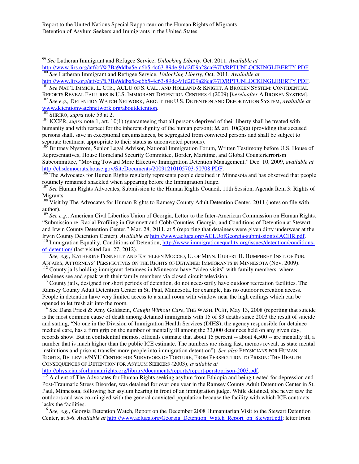<sup>99</sup> *See* Lutheran Immigrant and Refugee Service, *Unlocking Liberty*, Oct. 2011. *Available at*

http://www.lirs.org/atf/cf/%7Ba9ddba5e-c6b5-4c63-89de-91d2f09a28ca%7D/RPTUNLOCKINGLIBERTY.PDF. <sup>100</sup> *See* Lutheran Immigrant and Refugee Service, *Unlocking Liberty*, Oct. 2011. *Available at*

http://www.lirs.org/atf/cf/%7Ba9ddba5e-c6b5-4c63-89de-91d2f09a28ca%7D/RPTUNLOCKINGLIBERTY.PDF.

<sup>101</sup> *See* NAT'L IMMIGR. L. CTR., ACLU OF S. CAL., AND HOLLAND & KNIGHT, A BROKEN SYSTEM: CONFIDENTIAL REPORTS REVEAL FAILURES IN U.S. IMMIGRANT DETENTION CENTERS 4 (2009) [*hereinafter* A BROKEN SYSTEM].

<sup>102</sup> *See e.g.,* DETENTION WATCH NETWORK, ABOUT THE U.S. DETENTION AND DEPORTATION SYSTEM, *available at* www.detentionwatchnetwork.org/aboutdetention.

<sup>103</sup> SHRIRO, *supra* note 53 at 2.

 $\overline{a}$ 

<sup>104</sup> ICCPR, *supra* note 1, art. 10(1) (guaranteeing that all persons deprived of their liberty shall be treated with humanity and with respect for the inherent dignity of the human person); *id.* art. 10(2)(a) (providing that accused persons shall, save in exceptional circumstances, be segregated from convicted persons and shall be subject to separate treatment appropriate to their status as unconvicted persons).

<sup>105</sup> Brittney Nystrom, Senior Legal Advisor, National Immigration Forum, Written Testimony before U.S. House of Representatives, House Homeland Security Committee, Border, Maritime, and Global Counterterrorism Subcommittee, "Moving Toward More Effective Immigration Detention Management," Dec. 10, 2009, *available at* http://chsdemocrats.house.gov/SiteDocuments/20091210105703-50708.PDF.

<sup>106</sup> The Advocates for Human Rights regularly represents people detained in Minnesota and has observed that people routinely remained shackled when appearing before the Immigration Judge.

<sup>107</sup> See Human Rights Advocates, Submission to the Human Rights Council, 11th Session, Agenda Item 3: Rights of Migrants.

<sup>108</sup> Visit by The Advocates for Human Rights to Ramsey County Adult Detention Center, 2011 (notes on file with author).

<sup>109</sup> *See e.g.*, American Civil Liberties Union of Georgia, Letter to the Inter-American Commission on Human Rights, "Submission re. Racial Profiling in Gwinnett and Cobb Counties, Georgia, and Conditions of Detention at Stewart and Irwin County Detention Center," Mar. 28, 2011. at 5 (reporting that detainees were given dirty underwear at the Irwin County Detention Center). *Available at* http://www.acluga.org/ACLUofGeorgia-submissiontoIACHR.pdf. <sup>110</sup> Immigration Equality, Conditions of Detention, http://www.immigrationequality.org/issues/detention/conditionsof-detention/ (last visited Jan. 27, 2012).

<sup>111</sup> *See, e.g.*, KATHERINE FENNELLY AND KATHLEEN MOCCIO, U. OF MINN. HUBERT H. HUMPHREY INST. OF PUB. AFFAIRS, ATTORNEYS' PERSPECTIVES ON THE RIGHTS OF DETAINED IMMIGRANTS IN MINNESOTA (Nov. 2009).  $112$  County jails holding immigrant detainees in Minnesota have "video visits" with family members, where detainees see and speak with their family members via closed circuit television.

<sup>113</sup> County jails, designed for short periods of detention, do not necessarily have outdoor recreation facilities. The Ramsey County Adult Detention Center in St. Paul, Minnesota, for example, has no outdoor recreation access. People in detention have very limited access to a small room with window near the high ceilings which can be opened to let fresh air into the room.

<sup>114</sup> See Dana Priest & Amy Goldstein, *Caught Without Care*, THE WASH. POST, May 13, 2008 (reporting that suicide is the most common cause of death among detained immigrants with 15 of 83 deaths since 2003 the result of suicide and stating, "No one in the Division of Immigration Health Services (DIHS), the agency responsible for detainee medical care, has a firm grip on the number of mentally ill among the 33,000 detainees held on any given day, records show. But in confidential memos, officials estimate that about 15 percent -- about 4,500 -- are mentally ill, a number that is much higher than the public ICE estimate. The numbers are rising fast, memos reveal, as state mental institutions and prisons transfer more people into immigration detention"). *See also* PHYSICIANS FOR HUMAN RIGHTS, BELLEVUE/NYU CENTER FOR SURVIVORS OF TORTURE, FROM PERSECUTION TO PRISON: THE HEALTH CONSEQUENCES OF DETENTION FOR ASYLUM SEEKERS (2003), *available at*

http://physiciansforhumanrights.org/library/documents/reports/report-perstoprison-2003.pdf.

<sup>115</sup> A client of The Advocates for Human Rights seeking asylum from Ethiopia and being treated for depression and Post-Traumatic Stress Disorder, was detained for over one year in the Ramsey County Adult Detention Center in St. Paul, Minnesota, following her asylum hearing in front of an immigration judge. While detained, she never saw the outdoors and was co-mingled with the general convicted population because the facility with which ICE contracts lacks the facilities.

<sup>116</sup> *See, e.g.*, Georgia Detention Watch, Report on the December 2008 Humanitarian Visit to the Stewart Detention Center, at 5-6. *Available at* http://www.acluga.org/Georgia\_Detention\_Watch\_Report\_on\_Stewart.pdf; letter from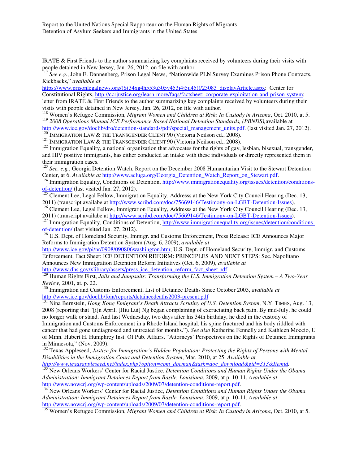$\overline{a}$ 

IRATE & First Friends to the author summarizing key complaints received by volunteers during their visits with people detained in New Jersey, Jan. 26, 2012, on file with author.

<sup>117</sup> See e.g., John E. Dannenberg, Prison Legal News, "Nationwide PLN Survey Examines Prison Phone Contracts, Kickbacks," *available at*

https://www.prisonlegalnews.org/(S(34xg4h553u305v453i4j5u45))/23083\_displayArticle.aspx; Center for Constitutional Rights, http://ccrjustice.org/learn-more/faqs/factsheet:-corporate-exploitation-and-prison-system; letter from IRATE & First Friends to the author summarizing key complaints received by volunteers during their visits with people detained in New Jersey, Jan. 26, 2012, on file with author.

<sup>118</sup> Women's Refugee Commission, *Migrant Women and Children at Risk: In Custody in Arizona*, Oct. 2010, at 5. <sup>119</sup> *2008 Operations Manual ICE Performance Based National Detention Standards, (PBNDS),*available at

http://www.ice.gov/doclib/dro/detention-standards/pdf/special\_management\_units.pdf. (last visited Jan. 27, 2012).  $^{120}$  IMMIGRATION LAW & THE TRANSGENDER CLIENT 90 (Victoria Neilson ed., 2008).

<sup>121</sup> IMMIGRATION LAW & THE TRANSGENDER CLIENT 90 (Victoria Neilson ed., 2008).

 $122$  Immigration Equality, a national organization that advocates for the rights of gay, lesbian, bisexual, transgender, and HIV positive immigrants, has either conducted an intake with these individuals or directly represented them in their immigration cases.

<sup>123</sup> *See, e.g.*, Georgia Detention Watch, Report on the December 2008 Humanitarian Visit to the Stewart Detention Center, at 6. *Available at* http://www.acluga.org/Georgia\_Detention\_Watch\_Report\_on\_Stewart.pdf.

 $124$  Immigration Equality, Conditions of Detention, http://www.immigrationequality.org/issues/detention/conditionsof-detention/ (last visited Jan. 27, 2012).

<sup>125</sup> Clement Lee, Legal Fellow, Immigration Equality, Addresss at the New York City Council Hearing (Dec. 13, 2011) (transcript availabe at http://www.scribd.com/doc/75669146/Testimony-on-LGBT-Detention-Issues).

<sup>126</sup> Clement Lee, Legal Fellow, Immigration Equality, Addresss at the New York City Council Hearing (Dec. 13, 2011) (transcript availabe at http://www.scribd.com/doc/75669146/Testimony-on-LGBT-Detention-Issues).

<sup>127</sup> Immigration Equality, Conditions of Detention, http://www.immigrationequality.org/issues/detention/conditionsof-detention/ (last visited Jan. 27, 2012).

<sup>128</sup> U.S. Dept. of Homeland Security, Immigr. and Customs Enforcement, Press Release: ICE Announces Major Reforms to Immigration Detention System (Aug. 6, 2009), *available at*

http://www.ice.gov/pi/nr/0908/090806washington.htm; U.S. Dept. of Homeland Security, Immigr. and Customs Enforcement, Fact Sheet: ICE DETENTION REFORM: PRINCIPLES AND NEXT STEPS: Sec. Napolitano Announces New Immigration Detention Reform Initiatives (Oct. 6, 2009), *available at* http://www.dhs.gov/xlibrary/assets/press\_ice\_detention\_reform\_fact\_sheet.pdf.

<sup>129</sup> Human Rights First, *Jails and Jumpsuits: Transforming the U.S. Immigration Detention System – A Two-Year Review*, 2001, at. p. 22.

<sup>130</sup> Immigration and Customs Enforcement, List of Detainee Deaths Since October 2003, *available at* http://www.ice.gov/doclib/foia/reports/detaineedeaths2003-present.pdf

<sup>131</sup> Nina Bernstein, *Hong Kong Emigrant's Death Attracts Scrutiny of U.S. Detention System*, N.Y. TIMES, Aug. 13, 2008 (reporting that "[i]n April, [Hiu Lui] Ng began complaining of excruciating back pain. By mid-July, he could no longer walk or stand. And last Wednesday, two days after his 34th birthday, he died in the custody of Immigration and Customs Enforcement in a Rhode Island hospital, his spine fractured and his body riddled with

cancer that had gone undiagnosed and untreated for months."). *See also* Katherine Fennelly and Kathleen Moccio, U of Minn. Hubert H. Humphrey Inst. Of Pub. Affairs, "Attorneys' Perspectives on the Rights of Detained Immigrants in Minnesota," (Nov. 2009).

<sup>132</sup> Texas Appleseed, *Justice for Immigration's Hidden Population: Protecting the Rights of Persons with Mental Disabilities in the Immigration Court and Detention System*, Mar. 2010, at 25. *Available at*

*http://www.texasappleseed.net/index.php?option=com\_docman&task=doc\_download&gid=313&Itemid.* 

<sup>133</sup> New Orleans Workers' Center for Racial Justice, *Detention Conditions and Human Rights Under the Obama Administration: Immigrant Detainees Report from Basile, Louisiana*, 2009, at p. 10-11. *Available at* http://www.nowcrj.org/wp-content/uploads/2009/07/detention-conditions-report.pdf.

<sup>134</sup> New Orleans Workers' Center for Racial Justice, *Detention Conditions and Human Rights Under the Obama Administration: Immigrant Detainees Report from Basile, Louisiana*, 2009, at p. 10-11. *Available at* http://www.nowcrj.org/wp-content/uploads/2009/07/detention-conditions-report.pdf.

<sup>135</sup> Women's Refugee Commission, *Migrant Women and Children at Risk: In Custody in Arizona*, Oct. 2010, at 5.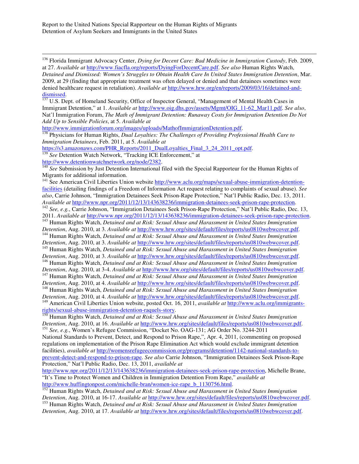<sup>136</sup> Florida Immigrant Advocacy Center, *Dying for Decent Care: Bad Medicine in Immigration Custody*, Feb. 2009, at 27. *Available at* http://www.fiacfla.org/reports/DyingForDecentCare.pdf. *See also* Human Rights Watch, *Detained and Dismissed: Women's Struggles to Obtain Health Care In United States Immigration Detention*, Mar. 2009, at 29 (finding that appropriate treatment was often delayed or denied and that detainees sometimes were denied healthcare request in retaliation). *Available at* http://www.hrw.org/en/reports/2009/03/16/detained-and- $\frac{\text{dissmissed}}{137}$  IIS De

U.S. Dept. of Homeland Security, Office of Inspector General, "Management of Mental Health Cases in Immigrant Detention," at 1. *Available at* http://www.oig.dhs.gov/assets/Mgmt/OIG\_11-62\_Mar11.pdf. *See also*, Nat'l Immigration Forum, *The Math of Immigrant Detention: Runaway Costs for Immigration Detention Do Not Add Up to Sensible Policies*, at 5. *Available at*

http://www.immigrationforum.org/images/uploads/MathofImmigrationDetention.pdf.

<sup>138</sup> Physicians for Human Rights, *Dual Loyalties: The Challenges of Providing Professional Health Care to Immigration Detainees*, Feb. 2011, at 5. *Available at*

https://s3.amazonaws.com/PHR\_Reports/2011\_DualLoyalties\_Final\_3\_24\_2011\_opt.pdf.

<sup>139</sup> See Detention Watch Network, "Tracking ICE Enforcement," at

http://www.detentionwatchnetwork.org/node/2382.

 $\overline{a}$ 

<sup>140</sup> See Submission by Just Detention International filed with the Special Rapporteur for the Human Rights of Migrants for additional information.

<sup>141</sup> See American Civil Liberties Union website http://www.aclu.org/maps/sexual-abuse-immigration-detentionfacilities (detailing findings of a Freedom of Information Act request relating to complaints of sexual abuse). *See also*, Carrie Johnson, "Immigration Detainees Seek Prison-Rape Protection," Nat'l Public Radio, Dec. 13, 2011. *Available at* http://www.npr.org/2011/12/13/143638236/immigration-detainees-seek-prison-rape-protection. <sup>142</sup> See, e.g., Carrie Johnson, "Immigration Detainees Seek Prison-Rape Protection," Nat'l Public Radio, Dec. 13, 2011. *Available at* http://www.npr.org/2011/12/13/143638236/immigration-detainees-seek-prison-rape-protection.

<sup>143</sup> Human Rights Watch, *Detained and at Risk: Sexual Abuse and Harassment in United States Immigration Detention*, Aug. 2010, at 3. *Available at* http://www.hrw.org/sites/default/files/reports/us0810webwcover.pdf.

<sup>144</sup> Human Rights Watch, *Detained and at Risk: Sexual Abuse and Harassment in United States Immigration Detention*, Aug. 2010, at 3. *Available at* http://www.hrw.org/sites/default/files/reports/us0810webwcover.pdf.

<sup>145</sup> Human Rights Watch, *Detained and at Risk: Sexual Abuse and Harassment in United States Immigration Detention*, Aug. 2010, at 3. *Available at* http://www.hrw.org/sites/default/files/reports/us0810webwcover.pdf.

<sup>146</sup> Human Rights Watch, *Detained and at Risk: Sexual Abuse and Harassment in United States Immigration* 

*Detention*, Aug. 2010, at 3-4. *Available at* http://www.hrw.org/sites/default/files/reports/us0810webwcover.pdf. <sup>147</sup> Human Rights Watch, *Detained and at Risk: Sexual Abuse and Harassment in United States Immigration* 

*Detention*, Aug. 2010, at 4. *Available at* http://www.hrw.org/sites/default/files/reports/us0810webwcover.pdf. <sup>148</sup> Human Rights Watch, *Detained and at Risk: Sexual Abuse and Harassment in United States Immigration* 

*Detention*, Aug. 2010, at 4. *Available at* http://www.hrw.org/sites/default/files/reports/us0810webwcover.pdf. <sup>149</sup> American Civil Liberties Union website, posted Oct. 16, 2011, *available at* http://www.aclu.org/immigrants-

rights/sexual-abuse-immigration-detention-raquels-story.

<sup>150</sup> Human Rights Watch, *Detained and at Risk: Sexual Abuse and Harassment in United States Immigration Detention*, Aug. 2010, at 16. *Available at* http://www.hrw.org/sites/default/files/reports/us0810webwcover.pdf. <sup>151</sup> *See, e.g.*, Women's Refugee Commission, "Docket No. OAG-131; AG Order No. 3244-2011

National Standards to Prevent, Detect, and Respond to Prison Rape,", Apr. 4, 2011, (commenting on proposed regulations on implementation of the Prison Rape Elimination Act which would exclude immigrant detention facilities), *available at* http://womensrefugeecommission.org/programs/detention/1142-national-standards-toprevent-detect-and-respond-to-prison-rape. *See also* Carrie Johnson, "Immigration Detainees Seek Prison-Rape Protection," Nat'l Public Radio, Dec. 13, 2011, *available at*

http://www.npr.org/2011/12/13/143638236/immigration-detainees-seek-prison-rape-protection, Michelle Brane, "It's Time to Protect Women and Children in Immigration Detention From Rape," *available at* http://www.huffingtonpost.com/michelle-bran/women-ice-rape\_b\_1130756.html.

<sup>152</sup> Human Rights Watch, *Detained and at Risk: Sexual Abuse and Harassment in United States Immigration Detention*, Aug. 2010, at 16-17. *Available at* http://www.hrw.org/sites/default/files/reports/us0810webwcover.pdf.

<sup>153</sup> Human Rights Watch, *Detained and at Risk: Sexual Abuse and Harassment in United States Immigration Detention*, Aug. 2010, at 17. *Available at* http://www.hrw.org/sites/default/files/reports/us0810webwcover.pdf.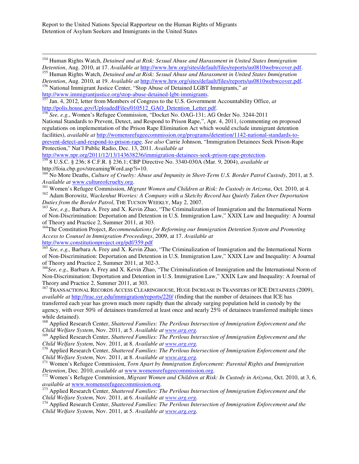<sup>154</sup> Human Rights Watch, *Detained and at Risk: Sexual Abuse and Harassment in United States Immigration Detention*, Aug. 2010, at 17. *Available at* http://www.hrw.org/sites/default/files/reports/us0810webwcover.pdf. <sup>155</sup> Human Rights Watch, *Detained and at Risk: Sexual Abuse and Harassment in United States Immigration* 

*Detention*, Aug. 2010, at 19. *Available at* http://www.hrw.org/sites/default/files/reports/us0810webwcover.pdf.

<sup>156</sup> National Immigrant Justice Center, "Stop Abuse of Detained LGBT Immigrants," *at*  http://www.immigrantjustice.org/stop-abuse-detained-lgbt-immigrants.

<sup>157</sup> Jan. 4, 2012, letter from Members of Congress to the U.S. Government Accountability Office, *at* http://polis.house.gov/UploadedFiles/010512\_GAO\_Detention\_Letter.pdf.

<sup>158</sup> *See, e.g.*, Women's Refugee Commission, "Docket No. OAG-131; AG Order No. 3244-2011

National Standards to Prevent, Detect, and Respond to Prison Rape,", Apr. 4, 2011, (commenting on proposed regulations on implementation of the Prison Rape Elimination Act which would exclude immigrant detention facilities), *available at* http://womensrefugeecommission.org/programs/detention/1142-national-standards-toprevent-detect-and-respond-to-prison-rape. *See also* Carrie Johnson, "Immigration Detainees Seek Prison-Rape Protection," Nat'l Public Radio, Dec. 13, 2011. *Available at*

http://www.npr.org/2011/12/13/143638236/immigration-detainees-seek-prison-rape-protection. <sup>159</sup> 8 U.S.C. § 236; 8 C.F.R. § 236.1; CBP Directive No. 3340-030A (Mar. 9, 2004), *available at*  http://foia.cbp.gov/streamingWord.asp?i=10.

<sup>160</sup> No More Deaths, *Culture of Cruelty: Abuse and Impunity in Short-Term U.S. Border Patrol Custody*, 2011, at 5. *Available at* www.cultureofcruelty.org.

<sup>161</sup> Women's Refugee Commission, *Migrant Women and Children at Risk: In Custody in Arizona*, Oct. 2010, at 4. <sup>162</sup> Adam Borowitz, *Wackenhut Worries: A Company with a Sketchy Record has Quietly Taken Over Deportation Duties from the Border Patrol*, THE TUCSON WEEKLY, May 2, 2007.

<sup>163</sup> *See, e.g.,* Barbara A. Frey and X. Kevin Zhao, "The Criminalization of Immigration and the International Norm of Non-Discrimination: Deportation and Detention in U.S. Immigration Law," XXIX Law and Inequality: A Journal of Theory and Practice 2, Summer 2011, at 303.

<sup>164</sup>The Constitution Project, *Recommendations for Reforming our Immigration Detention System and Promoting Access to Counsel in Immigration Proceedings*, 2009, at 17. *Available at*

http://www.constitutionproject.org/pdf/359.pdf

 $\overline{a}$ 

<sup>165</sup> See, e.g., Barbara A. Frey and X. Kevin Zhao, "The Criminalization of Immigration and the International Norm of Non-Discrimination: Deportation and Detention in U.S. Immigration Law," XXIX Law and Inequality: A Journal of Theory and Practice 2, Summer 2011, at 302-3.

<sup>166</sup>See, e.g., Barbara A. Frey and X. Kevin Zhao, "The Criminalization of Immigration and the International Norm of Non-Discrimination: Deportation and Detention in U.S. Immigration Law," XXIX Law and Inequality: A Journal of Theory and Practice 2, Summer 2011, at 303.

167 TRANSACTIONAL RECORDS ACCESS CLEARINGHOUSE, HUGE INCREASE IN TRANSFERS OF ICE DETAINEES (2009), *available at* http://trac.syr.edu/immigration/reports/220/ (finding that the number of detainees that ICE has transferred each year has grown much more rapidly than the already surging population held in custody by the agency, with over 50% of detainees transferred at least once and nearly 25% of detainees transferred multiple times while detained).

<sup>168</sup> Applied Research Center, *Shattered Families: The Perilous Intersection of Immigration Enforcement and the Child Welfare System*, Nov. 2011, at 5. *Available at www.arg.org.* 

<sup>169</sup> Applied Research Center, *Shattered Families: The Perilous Intersection of Immigration Enforcement and the Child Welfare System*, Nov. 2011, at 8. *Available at www.arg.org.*

<sup>170</sup> Applied Research Center, *Shattered Families: The Perilous Intersection of Immigration Enforcement and the Child Welfare System*, Nov. 2011, at 8. *Available at www.arg.org.*

<sup>171</sup> Women's Refugee Commission, *Torn Apart by Immigration Enforcement: Parental Rights and Immigration Detention*, Dec. 2010, *available at* www.womensrefugeecommission.org.

<sup>172</sup> Women's Refugee Commission, *Migrant Women and Children at Risk: In Custody in Arizona*, Oct. 2010, at 3, 6, *available at* www.womensrefugeecommission.org.

<sup>173</sup> Applied Research Center, *Shattered Families: The Perilous Intersection of Immigration Enforcement and the Child Welfare System*, Nov. 2011, at 6. *Available at www.arg.org.*

<sup>174</sup> Applied Research Center, *Shattered Families: The Perilous Intersection of Immigration Enforcement and the Child Welfare System*, Nov. 2011, at 5. *Available at www.arg.org.*